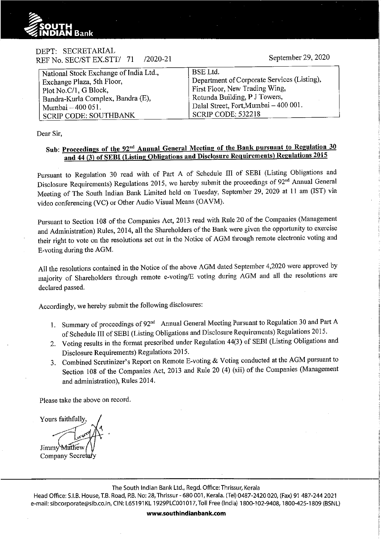

## DEPT: SECRETARIAL REF No. SEC/ST EX.STT/ 71 /2020-21

September 29, 2020

| National Stock Exchange of India Ltd., | BSE Ltd.                                    |
|----------------------------------------|---------------------------------------------|
| Exchange Plaza, 5th Floor,             | Department of Corporate Services (Listing), |
| Plot No.C/1, G Block,                  | First Floor, New Trading Wing,              |
| Bandra-Kurla Complex, Bandra (E),      | Rotunda Building, P J Towers,               |
| Mumbai - 400 051.                      | Dalal Street, Fort, Mumbai - 400 001.       |
| SCRIP CODE: SOUTHBANK                  | <b>SCRIP CODE: 532218</b>                   |

Dear Sir,

# Sub: Proceedings of the 92<sup>nd</sup> Annual General Meeting of the Bank pursuant to Regulation 30 **and 44 (3) of SEBI (Listing Obligations and Disclosure Requirements) Regulations 2015**

Pursuant to Regulation 30 read with of Part A of Schedule III of SEBI (Listing Obligations and Disclosure Requirements) Regulations 2015, we hereby submit the proceedings of 92"d Annual General Meeting of The South Indian Bank Limited held on Tuesday, September 29, 2020 at II am (IST) via video conferencing (VC) or Other Audio Visual Means (OAVM).

Pursuant to Section 108 of the Companies Act, 2013 read with Rule 20 of the Companies (Management and Administration) Rules, 2014, all the Shareholders of the Bank were given the opportunity to exercise their right to vote on the resolutions set out in the Notice of AGM through remote electronic voting and E-voting during the AGM.

All the resolutions contained in the Notice of the above AGM dated September 4,2020 were approved by majority of Shareholders through remote e-voting/E voting during AGM and all the resolutions are declared passed.

Accordingly, we hereby submit the following disclosures:

- 1. Summary of proceedings of 92<sup>nd</sup> Annual General Meeting Pursuant to Regulation 30 and Part A of Schedule III of SEBI (Listing Obligations and Disclosure Requirements) Regulations 2015.
- 2. Voting results in the format prescribed under Regulation 44(3) of SEBI (Listing Obligations and Disclosure Requirements) Regulations 2015.
- 3. Combined Scrutinizer's Report on Remote E-voting & Voting conducted at the AGM pursuant to Section 108 of the Companies Act, 2013 and Rule 20 (4) (xii) of the Companies (Management and administration), Rules 2014.

Please take the above on record.

Yours faithfully

Jimmy Company Secret

The South Indian Bank Ltd., Regd. Office: Thrissur, Kerala

Head Office: S.I.B. House, T.B. Road, P.B. No: 28, Thrissur- 680 001, Kerala. (Tel) 0487-2420 020, (Fax) 91 487-244 2021 e-mail: sibcorporate@sib.co.in, CIN: L65191KL 1929PLC001017, Toll Free (India) 1800-102-9408, 1800-425-1809 (BSNL)

**www.southindianbank.com**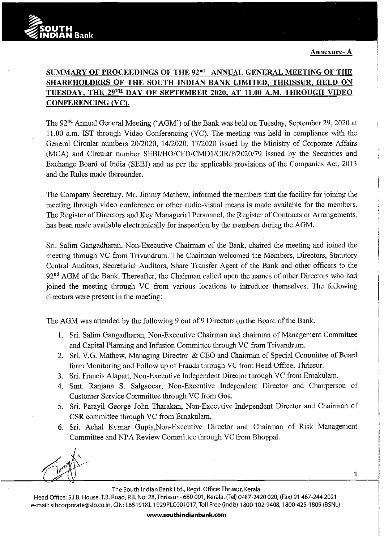1



# **SUMMARY OF PROCEEDINGS OF THE 92<sup>nd</sup> ANNUAL GENERAL MEETING OF THE SHAREHOLDERS OF THE SOUTH INDIAN BANK LIMITED, THRISSUR, HELD ON TUESDAY, THE 29™ DAY OF SEPTEMBER 2020, AT 11.00 A.M. THROUGH VIDEO CONFERENCING (VC).**

The 92"d Annual General Meeting ('AGM') of the Bank was held on Tuesday, September 29,2020 at 11.00 a.m. IST through Video Conferencing (VC). The meeting was held in compliance with the General Circular numbers 20/2020, 14/2020, 17/2020 issued by the Ministry of Corporate Affairs (MCA) and Circular number SEBI/HO/CFD/CMDI/CIR/P/2020/79 issued by the Securities and Exchange Board of India (SEBI) and as per the applicable provisions of the Companies Act, 2013 and the Rules made thereunder.

The Company Secretary, Mr. Jimmy Mathew, informed the members that the facility for joining the meeting through video conference or other audio-visual means is made available for the members. The Register of Directors and Key Managerial Personnel, the Register of Contracts or Arrangements, has been made available electronically for inspection by the members during the AGM.

Sri. Salim Gangadharan, Non-Executive Chairman of the Bank, chaired the meeting and joined the meeting through VC from Trivandrum. The Chairman welcomed the Members, Directors, Statutory Central Auditors, Secretarial Auditors, Share Transfer Agent of the Banlc and other officers to the  $92<sup>nd</sup>$  AGM of the Bank. Thereafter, the Chairman called upon the names of other Directors who had joined the meeting through VC from various locations to introduce themselves. The following directors were present in the meeting:

The AGM was attended by the following 9 out of 9 Directors on the Board of the Bank.

- 1. Sri. Salim Gangadharan, Non-Executive Chairman and chairman of Management Committee and Capital Plarming and Infusion Committee through VC from Trivandrum.
- 2. Sri. V.G. Mathew, Managing Director & CEO and Chairman of Special Committee of Board form Monitoring and Follow up of Frauds through VC from Head Office, Thrissur.
- 3. Sri. Francis Alapatt, Non-Executive Independent Director through VC from Ernakulam.
- 4. Smt. Ranjana S. Salgaocar, Non-Executive Independent Director and Chairperson of Customer Service Committee through VC from Goa.
- 5. Sri. Parayil George John Tharakan, Non-Executive Independent Director and Chairman of CSR committee through VC from Ernakulam.
- 6. Sri. Achal Kumar Gupta,Non-Executive Director and Chairman of Risk Management Committee and NPA Review Committee through VC from Bhoppal.



The South Indian Bank Ltd., Regd. Office: Thrissur, Kerala

Head Office: 5.1.8. House, T.B. Road, P.B. No: 28, Thrissur- 680 001, Kerala. (Tel) 0487-2420 020, (Fax) 91 487-244 2021 e-mail: sibcorporate@sib.co.in, CIN: L65191KL 1929PLC001017, Toll Free (India) 1800-102-9408, 1800-425-1809 (BSNL)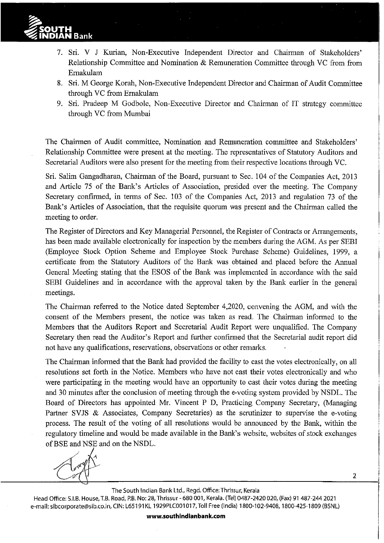

- 7. Sri. V J Kurian, Non-Executive Independent Director and Chairman of Stakeholders' Relationship Committee and Nomination & Remuneration Committee through VC from from Ernakulam
- 8. Sri. M George Korah, Non-Executive Independent Director and Chairman of Audit Committee through VC from Ernakulam
- 9. Sri. Pradeep M Godbole, Non-Executive Director and Chairman of IT strategy committee through VC from Mumbai

The Chairmen of Audit committee, Nomination and Remuneration committee and Stakeholders' Relationship Committee were present at the meeting. The representatives of Statutory Auditors and Secretarial Auditors were also present for the meeting from their respective locations through VC.

Sri. Salim Gangadharan, Chairman of the Board, pursuant to Sec. 104 of the Companies Act, 2013 and Article 75 of the Bank's Articles of Association, presided over the meeting. The Company Secretary confirmed, in terms of Sec. 103 of the Companies Act, 2013 and regulation 73 of the Bank's Articles of Association, that the requisite quorum was present and the Chairman called the meeting to order.

The Register of Directors and Key Managerial Personnel, the Register of Contracts or Arrangements, has been made available electronically for inspection by the members during the AGM. As per SEBI (Employee Stock Option Scheme and Employee Stock Purchase Scheme) Guidelines, 1999, a certificate from the Statutory Auditors of the Bank was obtained and placed before the Annual General Meeting stating that the ESOS of the Bank was implemented in accordance with the said SEBI Guidelines and in accordance with the approval taken by the Bank earlier in the general meetings.

The Chairman referred to the Notice dated September 4,2020, convening the AGM, and with the consent of the Members present, the notice was taken as read. The Chairman informed to the Members that the Auditors Report and Secretarial Audit Report were unqualified. The Company Secretary then read the Auditor's Report and further confirmed that the Secretarial audit report did not have any qualifications, reservations, observations or other remarks.

The Chairman informed that the Bank had provided the facility to cast the votes electronically, on all resolutions set forth in the Notice. Members who have not cast their votes electronically and who were participating in the meeting would have an opportunity to cast their votes during the meeting and 30 minutes after the conclusion of meeting through the e-voting system provided by NSDL. The Board of Directors has appointed Mr. Vincent P D, Practicing Company Secretary, (Managing Partner SVJS & Associates, Company Secretaries) as the scrutinizer to supervise the e-voting process. The result of the voting of all resolutions would be announced by the Bank, within the regulatory timeline and would be made available in the Bank's website, websites of stock exchanges ofBSE and NSE and on the NSDL.

2

BSE and NSE and on

The South Indian Bank Ltd., Regd. Office:Thrissur, Kerala

Head Office: S.I.B. House, T.B. Road, P.B. No: 28, Thrissur- 680 001, Kerala. (Tel) 0487-2420 020, (Fax) 91 487-244 2021 e-mail: sibcorporate@sib.co.in, CIN: L65191KL 1929PLC001017, Toll Free (India) 1800-102-9408, 1800-425-1809 (BSNL)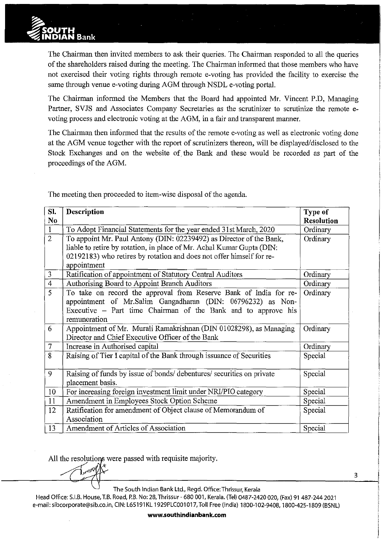

The Chairman then invited members to ask their queries. The Chairman responded to all the queries of the shareholders raised during the meeting. The Chairman informed that those members who have not exercised their voting rights through remote e-voting has provided the facility to exercise the same through venue e-voting during AGM through NSDL e-voting portal.

The Chairman informed the Members that the Board had appointed Mr. Vincent P.D, Managing Partner, SVJS and Associates Company Secretaries as the scrutinizer to scrutinize the remote evoting process and electronic voting at the AGM, in a fair and transparent manner.

The Chairman then informed that the results of the remote e-voting as well as electronic voting done at the AGM venue together with the report of scrutinizers thereon, will be displayed/disclosed to the Stock Exchanges and on the website of the Bank and these would be recorded as part of the proceedings of the AGM.

The meeting then proceeded to item-wise disposal of the agenda.

| SI.            | <b>Description</b>                                                    | Type of           |
|----------------|-----------------------------------------------------------------------|-------------------|
| N <sub>0</sub> |                                                                       | <b>Resolution</b> |
| $\mathbf{1}$   | To Adopt Financial Statements for the year ended 31st March, 2020     | Ordinary          |
| $\overline{2}$ | To appoint Mr. Paul Antony (DIN: 02239492) as Director of the Bank,   | Ordinary          |
|                | liable to retire by rotation, in place of Mr. Achal Kumar Gupta (DIN: |                   |
|                | 02192183) who retires by rotation and does not offer himself for re-  |                   |
|                | appointment                                                           |                   |
| 3              | Ratification of appointment of Statutory Central Auditors             | Ordinary          |
| $\overline{4}$ | Authorising Board to Appoint Branch Auditors                          | Ordinary          |
| $\overline{5}$ | To take on record the approval from Reserve Bank of India for re-     | Ordinary          |
|                | appointment of Mr.Salim Gangadharan (DIN: 06796232) as Non-           |                   |
|                | Executive – Part time Chairman of the Bank and to approve his         |                   |
|                | remuneration                                                          |                   |
| 6              | Appointment of Mr. Murali Ramakrishnan (DIN 01028298), as Managing    | Ordinary          |
|                | Director and Chief Executive Officer of the Bank                      |                   |
| $\overline{7}$ | Increase in Authorised capital                                        | Ordinary          |
| 8              | Raising of Tier I capital of the Bank through issuance of Securities  | Special           |
|                |                                                                       |                   |
| 9              | Raising of funds by issue of bonds/ debentures/ securities on private | Special           |
|                | placement basis.                                                      |                   |
| 10             | For increasing foreign investment limit under NRI/PIO category        | Special           |
| 11             | Amendment in Employees Stock Option Scheme                            | Special           |
| 12             | Ratification for amendment of Object clause of Memorandum of          | Special           |
|                | Association                                                           |                   |
| 13             | Amendment of Articles of Association                                  | Special           |

All the resolutions were passed with requisite majority.

بو<br>مبا

The South Indian Bank Ltd., Regd. Office:Thrissur, Kerala

3

Head Office: 5.1.6. House, T.B. Road, P.B. No: 28, Thrissur- 680 001, Kerala. (Tel) 0487-2420 020, (Fax) 91 487-244 2021 e-mail: sibcorporate@sib.co.in, CIN: L65191KL 1929PLC001017, Toll Free (India) 1800-102-9408, 1800-425-1809 (BSNL)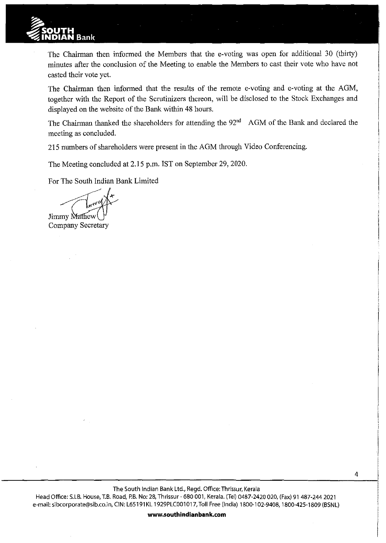

The Chairman then informed the Members that the e-voting was open for additional 30 (thirty) minutes after the conclusion of the Meeting to enable the Members to cast their vote who have not casted their vote yet.

The Chairman then informed that the results of the remote e-voting and e-voting at the AGM, together with the Report of the Scrutinizers thereon, will be disclosed to the Stock Exchanges and displayed on the website of the Bank within 48 hours.

The Chairman thanked the shareholders for attending the 92<sup>nd</sup> AGM of the Bank and declared the meeting as concluded.

215 numbers of shareholders were present in the AGM through Video Conferencing.

The Meeting concluded at 2.15 p.m. IST on September 29,2020.

For The South Indian Bank Limited

Jimmy Mathew

Company Secretary

4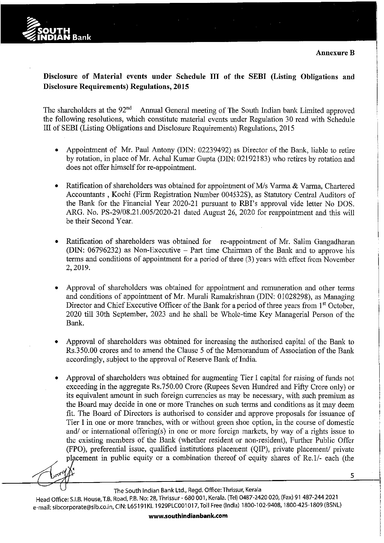5



**Disclosure of Material events under Schedule III of the SEBI (Listing Obligations and Disclosure Requirements) Regulations, 2015** 

The shareholders at the  $92<sup>nd</sup>$  Annual General meeting of The South Indian bank Limited approved the following resolutions, which constitute material events under Regulation 30 read with Schedule III of SEBI (Listing Obligations and Disclosure Requirements) Regulations, 2015

- Appointment of Mr. Paul Antony (DIN: 02239492) as Director of the Bank, liable to retire by rotation, in place of Mr. Achal Kumar Gupta (DIN: 02192183) who retires by rotation and does not offer himself for re-appointment.
- Ratification of shareholders was obtained for appointment of M/s Varma & Varma, Chartered Accountants , Kochi (Firm Registration Number 004532S), as Statutory Central Auditors of the Bank for the Financial Year 2020-21 pursuant to RBI's approval vide letter No DOS. ARG. No. PS-29/08.21.005/2020-21 dated August 26, 2020 for reappointment and this will be their Second Year.
- Ratification of shareholders was obtained for re-appointment of Mr. Salim Gangadharan (DIN: 06796232) as Non-Executive - Part time Chairman of the Bank and to approve his terms and conditions of appointment for a period of three (3) years with effect from November 2, 2019.
- Approval of shareholders was obtained for appointment and remuneration and other terms and conditions of appointment of Mr. Murali Ramakrishnan (DIN: 01028298), as Managing Director and Chief Executive Officer of the Bank for a period of three years from 1<sup>st</sup> October, 2020 till 30th September, 2023 and he shall be Whole-time Key Managerial Person of the Bank.
- Approval of shareholders was obtained for increasing the authorised capital of the Bank to Rs.350.00 crores and to amend the Clause 5 of the Memorandum of Association of the Bank accordingly, subject to the approval of Reserve Bank of India.
- Approval of shareholders was obtained for augmenting Tier I capital for raising of funds not exceeding in the aggregate Rs.750.00 Crore (Rupees Seven Hundred and Fifty Crore only) or its equivalent amount in such foreign currencies as may be necessary, with such premium as the Board may decide in one or more Tranches on such terms and conditions as it may deem fit. The Board of Directors is authorised to consider and approve proposals for issuance of Tier I in one or more tranches, with or without green shoe option, in the course of domestic and/ or international offering(s) in one or more foreign markets, by way of a rights issue to the existing members of the Bank (whether resident or non-resident), Further Public Offer (FPO), preferential issue, qualified institutions placement (QIP), private placement/ private placement in public equity or a combination thereof of equity shares of Re.1/- each (the

The South Indian Bank Ltd., Regd. Office:Thrissur, Kerala

Head Office: S.I.B. House, T.B. Road, P.B. No: 28, Thrissur- 680 001, Kerala. (Tel) 0487-2420 020, (Fax) 91 487-244 2021 e-mail: sibcorporate@sib.co.in, CIN: L65191 KL 1929PLC001 017, Toll Free (India) 1800-1 02·9408, 1800-425-1809 (BSNL)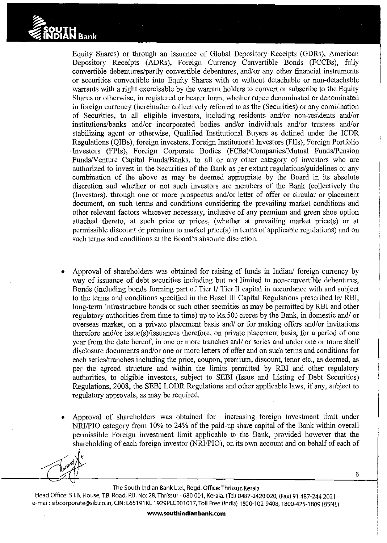

Equity Shares) or through an issuance of Global Depository Receipts (GDRs), American Depository Receipts (ADRs), Foreign Currency Convertible Bonds (FCCBs), fully convertible debentures/partly convertible debentures, and/or any other financial instruments or securities convertible into Equity Shares with or without detachable or non-detachable warrants with a right exercisable by the warrant holders to convert or subscribe to the Equity Shares or otherwise, in registered or bearer form, whether rupee denominated or denominated in foreign currency (hereinafter collectively referred to as the (Securities) or any combination of Securities, to all eligible investors, including residents and/or non-residents and/or institutions/banks and/or incorporated bodies and/or individuals and/or trustees and/or stabilizing agent or otherwise, Qualified Institutional Buyers as defined under the ICDR Regulations (QIBs), foreign investors, Foreign Institutional Investors (Fils), Foreign Portfolio Investors (FPis), Foreign Corporate Bodies (FCBs)/Companies/Mutual Funds/Pension Funds/Venture Capital Funds/Banks, to all or any other category of investors who are authorized to invest in the Securities of the Bank as per extant regulations/guidelines or any combination of the above as may be deemed appropriate by the Board in its absolute discretion and whether or not such investors are members of the Bank (collectively the (Investors), through one or more prospectus and/or letter of offer or circular or placement document, on such terms and conditions considering the prevailing market conditions and other relevant factors wherever necessary, inclusive of any premium and green shoe option attached thereto, at such price or prices, (whether at prevailing market price(s) or at permissible discount or premium to market price(s) in terms of applicable regulations) and on such terms and conditions at the Board's absolute discretion.

- Approval of shareholders was obtained for raising of funds in Indian/ foreign currency by way of issuance of debt securities including but not limited to non-convertible debentures, Bonds (including bonds forming part of Tier I/ Tier II capital in accordance with and subject to the terms and conditions specified in the Basel III Capital Regulations prescribed by RBI, long-term infrastructure bonds or such other securities as may be permitted by RBI and other regulatory authorities from time to time) up to Rs.SOO crores by the Bank, in domestic and/ or overseas market, on a private placement basis and/ or for making offers and/or invitations therefore and/or issue(s)/issuances therefore, on private placement basis, for a period of one year from the date hereof, in one or more tranches and/ or series and under one or more shelf disclosure documents and/or one or more letters of offer and on such terms and conditions for each series/tranches including the price, coupon, premium, discount, tenor etc., as deemed, as per the agreed structure and within the limits permitted by RBI and other regulatory authorities, to eligible investors, subject to SEBI (Issue and Listing of Debt Securities) Regulations, 2008, the SEBI LODR Regulations and other applicable laws, if any, subject to regulatory approvals, as may be required.
- Approval of shareholders was obtained for increasing foreign investment limit under NRl/PIO category from 10% to 24% of the paid-up share capital of the Bank within overall permissible Foreign investment limit applicable to the Bank, provided however that the shareholding of each foreign investor (NRI/PIO), on its own account and on behalf of each of

6



### The South Indian Bank Ltd., Regd. Office: Thrissur, Kerala

Head Office: S.I.B. House, T.B. Road, P.B. No: 28, Thrissur- 680 001, Kerala. (Tel) 0487-2420 020, (Fax) 91 487-244 2021 e-mail: sibcorporate@sib.co.in, CIN: L65191KL 1929PLC001017, Toll Free (India) 1800-102-9408, 1800-425-1809 (BSNL)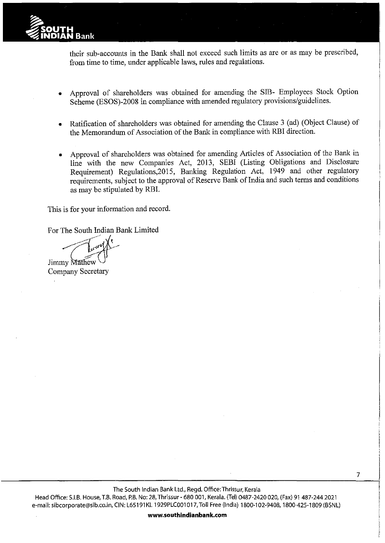

their sub-accounts in the Bank shall not exceed such limits as are or as may be prescribed, from time to time, under applicable laws, rules and regulations.

- Approval of shareholders was obtained for amending the SIB- Employees Stock Option Scheme (ESOS)-2008 in compliance with amended regulatory provisions/guidelines.
- Ratification of shareholders was obtained for amending the Clause 3 (ad) (Object Clause) of the Memorandum of Association of the Bank in compliance with RBI direction.
- Approval of shareholders was obtained for amending Articles of Association of the Bank in line with the new Companies Act, 2013, SEBI (Listing Obligations and Disclosure Requirement) Regulations,2015, Banking Regulation Act, 1949 and other regulatory requirements, subject to the approval of Reserve Bank of India and such terms and conditions as may be stipulated by RBI.

This is for your information and record.

For The South Indian Bank: Limited

Jimmy Mathew

Company Secretary

The South Indian Bank Ltd., Regd. Office:Thrissur, Kerala

7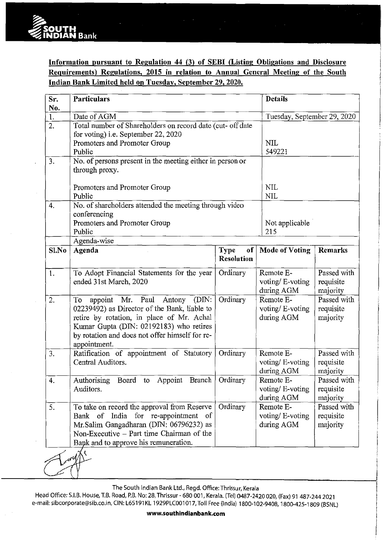

**Information pursuant to Regulation 44** (3) **of SEBI (Listing Obligations and Disclosure Requirements) Regulations, 2015 in relation to Annual General Meeting of the South Indian Bank Limited held on Tuesday, September 29, 2020.** 

| Sr.<br>No. | <b>Particulars</b>                                                                                                                                                                                                                               |                                            | <b>Details</b>                              |                                      |  |
|------------|--------------------------------------------------------------------------------------------------------------------------------------------------------------------------------------------------------------------------------------------------|--------------------------------------------|---------------------------------------------|--------------------------------------|--|
| 1.         | Date of AGM                                                                                                                                                                                                                                      |                                            | Tuesday, September 29, 2020                 |                                      |  |
| 2.         | Total number of Shareholders on record date (cut- off date<br>for voting) i.e. September 22, 2020<br>Promoters and Promoter Group<br>Public                                                                                                      | <b>NIL</b><br>549221                       |                                             |                                      |  |
| 3.         | No. of persons present in the meeting either in person or<br>through proxy.<br>Promoters and Promoter Group<br>Public                                                                                                                            |                                            | <b>NIL</b><br><b>NIL</b>                    |                                      |  |
| 4.         | No. of shareholders attended the meeting through video<br>conferencing<br>Promoters and Promoter Group<br>Public<br>Agenda-wise                                                                                                                  |                                            | Not applicable<br>215                       |                                      |  |
| $Sl$ . No  | Agenda                                                                                                                                                                                                                                           | <b>Type</b><br>of<br><b>Resolution</b>     | <b>Mode of Voting</b>                       | <b>Remarks</b>                       |  |
| 1.         | To Adopt Financial Statements for the year<br>ended 31st March, 2020                                                                                                                                                                             | Ordinary                                   | Remote E-<br>voting/E-voting<br>during AGM  | Passed with<br>requisite<br>majority |  |
| 2.         | appoint Mr. Paul Antony<br>(DIN)<br>To<br>02239492) as Director of the Bank, liable to<br>retire by rotation, in place of Mr. Achal<br>Kumar Gupta (DIN: 02192183) who retires<br>by rotation and does not offer himself for re-<br>appointment. | Ordinary                                   | Remote E-<br>voting/ E-voting<br>during AGM | Passed with<br>requisite<br>majority |  |
| 3.         | Ratification of appointment of Statutory<br>Central Auditors.                                                                                                                                                                                    | Ordinary                                   | Remote E-<br>voting/E-voting<br>during AGM  | Passed with<br>requisite<br>majority |  |
| 4.         | Authorising Board to Appoint Branch   Ordinary<br>Auditors.                                                                                                                                                                                      | Remote E-<br>voting/E-voting<br>during AGM | Passed with<br>requisite<br>majority        |                                      |  |
| 5.         | To take on record the approval from Reserve<br>Bank of India for re-appointment of<br>Mr.Salim Gangadharan (DIN: 06796232) as<br>Non-Executive – Part time Chairman of the<br>Bank and to approve his remuneration.                              | Ordinary                                   | Remote E-<br>voting/E-voting<br>during AGM  | Passed with<br>requisite<br>majority |  |



The South Indian Bank Ltd., Regd. Office: Thrissur, Kerala

i ' I I ' '

Head Office: S.I.B. House, T.B. Road, P.B. No: 28, Thrissur- 680 001, Kerala. (Tel) 0487-2420 020, (Fax) 91 487-244 2021 e-mail: sibcorporate@sib.co.in, CIN: L65191 KL 1929PLC001 017, Toll Free (India) 1800-102-9408, 1800-425-1809 (BSNL)

**www.southindianbank.com**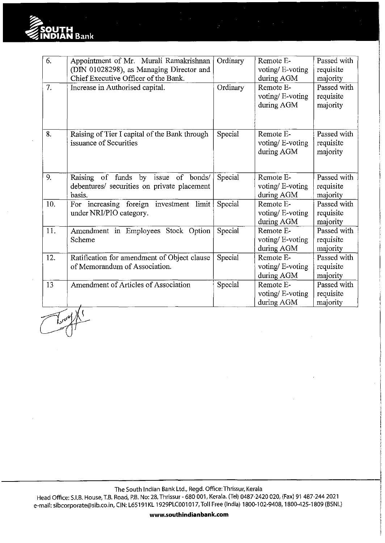

| 7.  | (DIN 01028298), as Managing Director and<br>Chief Executive Officer of the Bank.<br>Increase in Authorised capital. | Ordinary | voting/E-voting<br>during AGM<br>Remote E- | requisite<br>majority |
|-----|---------------------------------------------------------------------------------------------------------------------|----------|--------------------------------------------|-----------------------|
|     |                                                                                                                     |          |                                            |                       |
|     |                                                                                                                     |          |                                            |                       |
|     |                                                                                                                     |          |                                            | Passed with           |
|     |                                                                                                                     |          | voting/E-voting                            | requisite             |
|     |                                                                                                                     |          | during AGM                                 | majority              |
|     |                                                                                                                     |          |                                            |                       |
|     |                                                                                                                     |          |                                            |                       |
| 8.  | Raising of Tier I capital of the Bank through                                                                       | Special  | Remote E-                                  | Passed with           |
|     | issuance of Securities                                                                                              |          | voting/E-voting                            | requisite             |
|     |                                                                                                                     |          | during AGM                                 | majority              |
|     |                                                                                                                     |          |                                            |                       |
|     |                                                                                                                     |          |                                            |                       |
| 9.  | Raising of funds by issue of bonds/                                                                                 | Special  | Remote E-                                  | Passed with           |
|     | debentures/ securities on private placement                                                                         |          | voting/ E-voting                           | requisite             |
|     | basis.                                                                                                              |          | during AGM                                 | majority              |
| 10. | For increasing foreign investment limit                                                                             | Special  | Remote E-                                  | Passed with           |
|     | under NRI/PIO category.                                                                                             |          | voting/ E-voting                           | requisite             |
|     |                                                                                                                     |          | during AGM                                 | majority              |
| 11. | Amendment in Employees Stock Option                                                                                 | Special  | Remote E-                                  | Passed with           |
|     | Scheme                                                                                                              |          | voting/E-voting                            | requisite             |
|     |                                                                                                                     |          | during AGM                                 | majority              |
| 12. | Ratification for amendment of Object clause                                                                         | Special  | Remote E-                                  | Passed with           |
|     | of Memorandum of Association.                                                                                       |          | voting/E-voting                            | requisite             |
|     |                                                                                                                     |          | during AGM                                 | majority              |
| 13  | Amendment of Articles of Association                                                                                | Special  | Remote E-                                  | Passed with           |
|     |                                                                                                                     |          | voting/ E-voting                           | requisite             |
|     |                                                                                                                     |          | during AGM                                 | majority              |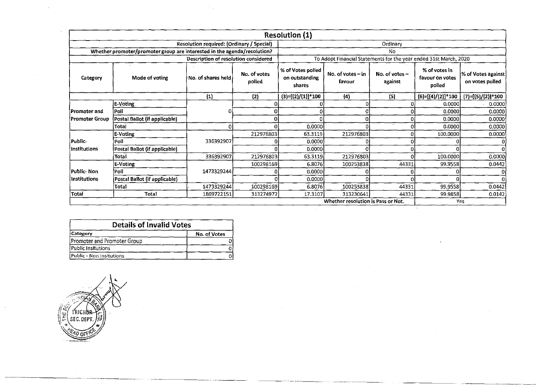|                 | <b>Resolution (1)</b>                                                    |                                           |                        |                                               |                                                                   |                           |                                            |                                       |
|-----------------|--------------------------------------------------------------------------|-------------------------------------------|------------------------|-----------------------------------------------|-------------------------------------------------------------------|---------------------------|--------------------------------------------|---------------------------------------|
|                 |                                                                          | Resolution required: (Ordinary / Special) |                        | Ordinary                                      |                                                                   |                           |                                            |                                       |
|                 | Whether promoter/promoter group are interested in the agenda/resolution? |                                           |                        |                                               |                                                                   | No                        |                                            |                                       |
|                 |                                                                          | Description of resolution considered      |                        |                                               | To Adopt Financial Statements for the year ended 31st March, 2020 |                           |                                            |                                       |
| Category        | Mode of voting                                                           | No. of shares held                        | No. of votes<br>polled | % of Votes polled<br>on outstanding<br>shares | No. of votes $-$ in<br>favour                                     | No. of votes -<br>against | % of votes in<br>favour on votes<br>polled | % of Votes against<br>on votes polled |
|                 |                                                                          | (1)                                       | (2)                    | $(3)=[(2)/(1)]*100$                           | (4)                                                               | (5)                       | $(6)=[(4)/(2)]*100$                        | $(7)=[(5)/(2)]*100$                   |
|                 | E-Voting                                                                 |                                           |                        |                                               |                                                                   |                           | 0.0000                                     | 0.0000                                |
| Promoter and    | Poll                                                                     | 01                                        |                        |                                               |                                                                   |                           | 0.0000                                     | 0.0000                                |
| Promoter Group! | Postal Ballot (if applicable)                                            |                                           |                        |                                               |                                                                   |                           | 0.0000                                     | 0.0000                                |
|                 | Total                                                                    | 0l                                        |                        | 0.0000                                        |                                                                   |                           | 0.0000                                     | 0.0000                                |
|                 | E-Voting                                                                 |                                           | 212976803              | 63.3119                                       | 212976803                                                         |                           | 100.0000                                   | 0.0000                                |
| Public-         | Poll                                                                     | 336392907                                 |                        | 0.0000                                        |                                                                   |                           |                                            |                                       |
| Institutions    | Postal Ballot (if applicable)                                            |                                           |                        | 0.0000                                        |                                                                   |                           |                                            |                                       |
|                 | Total                                                                    | 336392907                                 | 212976803              | 63.3119                                       | 212976803                                                         |                           | 100.0000                                   | 0.0000                                |
|                 | E-Voting                                                                 |                                           | 100298169              | 6.8076                                        | 100253838                                                         | 44331                     | 99.9558                                    | 0.0442                                |
| 'Public- Non    | lPoll:                                                                   | 1473329244                                |                        | 0.0000                                        |                                                                   |                           |                                            | 01                                    |
| Institutions    | Postal Ballot (if applicable)                                            |                                           |                        | 0.0000                                        |                                                                   |                           |                                            |                                       |
|                 | <b>Total</b>                                                             | 1473329244                                | 100298169              | 6.8076                                        | 100253838                                                         | 44331                     | 99.9558                                    | 0.0442                                |
| Total           | Total                                                                    | 1809722151                                | 313274972              | 17.3107                                       | 313230641                                                         | 44331                     | 99.9858                                    | 0.0142                                |
|                 |                                                                          |                                           |                        |                                               | Whether resolution is Pass or Not.                                |                           |                                            | Yes                                   |
|                 |                                                                          |                                           |                        |                                               |                                                                   |                           |                                            |                                       |

 $\sim$ 

 $\bar{z}$ 

| <b>Details of Invalid Votes</b> |              |  |  |  |
|---------------------------------|--------------|--|--|--|
| Category                        | No. of Votes |  |  |  |
| Promoter and Promoter Group     |              |  |  |  |
| Public Insitutions              |              |  |  |  |
| Public - Non Insitutions        |              |  |  |  |

/ (TRICHU<del>r.)</del><br>Sec.dept.<sub>)</sub>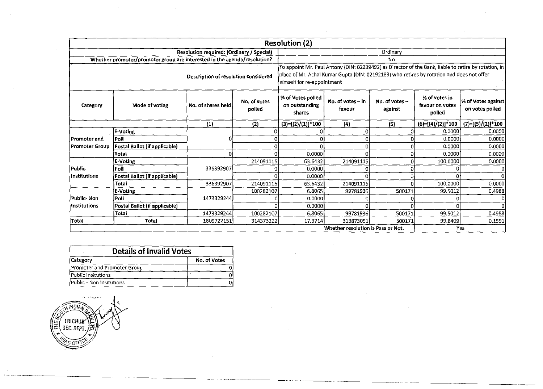|                       |                                                                          |                                           |                        | <b>Resolution (2)</b>                         |                                                                                                                                                                                                   |                             |                                            |                                       |
|-----------------------|--------------------------------------------------------------------------|-------------------------------------------|------------------------|-----------------------------------------------|---------------------------------------------------------------------------------------------------------------------------------------------------------------------------------------------------|-----------------------------|--------------------------------------------|---------------------------------------|
|                       |                                                                          | Resolution required: (Ordinary / Special) |                        |                                               |                                                                                                                                                                                                   | Ordinary                    |                                            |                                       |
|                       | Whether promoter/promoter group are interested in the agenda/resolution? |                                           |                        |                                               |                                                                                                                                                                                                   | No                          |                                            |                                       |
|                       |                                                                          | Description of resolution considered      |                        | himself for re-appointment                    | To appoint Mr. Paul Antony (DIN: 02239492) as Director of the Bank, liable to retire by rotation, in<br>place of Mr. Achal Kumar Gupta (DIN: 02192183) who retires by rotation and does not offer |                             |                                            |                                       |
| Category              | Mode of voting                                                           | No. of shares held                        | No. of votes<br>polled | % of Votes polled<br>on outstanding<br>shares | No. of votes $-$ in<br>favour                                                                                                                                                                     | No. of votes $-$<br>against | % of votes in<br>favour on votes<br>polled | % of Votes against<br>on votes polled |
|                       |                                                                          | (1)                                       | (2)                    | $(3)=[(2)/(1)]*100$                           | (4)                                                                                                                                                                                               | (5)                         | $(6)=[(4)/(2)]*100$                        | $(7)=[(5)/(2)]*100$                   |
|                       | E-Voting                                                                 |                                           | ΩI                     |                                               |                                                                                                                                                                                                   | o                           | 0.00001                                    | 0.0000                                |
| <b>Promoter</b> and   | Poll                                                                     | n                                         |                        |                                               |                                                                                                                                                                                                   |                             | 0.0000                                     | 0.0000                                |
| <b>Promoter Group</b> | Postal Ballot (if applicable)                                            |                                           |                        |                                               |                                                                                                                                                                                                   |                             | 0.0000                                     | 0.0000                                |
|                       | Total                                                                    | ٥í                                        |                        | 0.0000                                        |                                                                                                                                                                                                   |                             | 0.0000                                     | 0.0000                                |
|                       | E-Voting                                                                 |                                           | 214091115              | 63.6432                                       | 214091115                                                                                                                                                                                         | O                           | 100.0000                                   | 0.0000                                |
| Public-               | Poll                                                                     | 336392907                                 |                        | 0.0000                                        |                                                                                                                                                                                                   | n                           |                                            |                                       |
| lInstitutions         | Postal Ballot (if applicable)                                            |                                           |                        | 0.0000                                        |                                                                                                                                                                                                   | $\Omega$                    |                                            | $\Omega$                              |
|                       | Total                                                                    | 336392907                                 | 214091115              | 63.6432                                       | 214091115                                                                                                                                                                                         | Ω                           | 100.0000                                   | 0.0000                                |
|                       | E-Voting                                                                 |                                           | 100282107              | 6.8065                                        | 99781936                                                                                                                                                                                          | 500171                      | 99.5012                                    | 0.4988                                |
| Public-Non            | <b>Poll</b>                                                              | 1473329244                                |                        | 0.0000                                        |                                                                                                                                                                                                   |                             |                                            | 0                                     |
| <b>Institutions</b>   | Postal Ballot (if applicable)                                            |                                           |                        | 0.0000                                        |                                                                                                                                                                                                   |                             |                                            |                                       |
|                       | Total                                                                    | 1473329244                                | 100282107              | 6.8065                                        | 99781936                                                                                                                                                                                          | 500171                      | 99.5012                                    | 0.4988                                |
| Total                 | <b>Total</b>                                                             | 1809722151                                | 314373222              | 17.3714                                       | 313873051                                                                                                                                                                                         | 500171                      | 99.8409                                    | 0.1591                                |
|                       |                                                                          |                                           |                        |                                               | Whether resolution is Pass or Not.                                                                                                                                                                |                             |                                            | Yes                                   |

 $\label{eq:2.1} \frac{1}{2} \sum_{i=1}^n \frac{1}{2} \sum_{j=1}^n \frac{1}{2} \sum_{j=1}^n \frac{1}{2} \sum_{j=1}^n \frac{1}{2} \sum_{j=1}^n \frac{1}{2} \sum_{j=1}^n \frac{1}{2} \sum_{j=1}^n \frac{1}{2} \sum_{j=1}^n \frac{1}{2} \sum_{j=1}^n \frac{1}{2} \sum_{j=1}^n \frac{1}{2} \sum_{j=1}^n \frac{1}{2} \sum_{j=1}^n \frac{1}{2} \sum_{j=1}^n \frac{$ 

 $\mathcal{L}(\mathcal{L}(\mathcal{L}(\mathcal{L}(\mathcal{L}(\mathcal{L}(\mathcal{L}(\mathcal{L}(\mathcal{L}(\mathcal{L}(\mathcal{L}(\mathcal{L}(\mathcal{L}(\mathcal{L}(\mathcal{L}(\mathcal{L}(\mathcal{L}(\mathcal{L}(\mathcal{L}(\mathcal{L}(\mathcal{L}(\mathcal{L}(\mathcal{L}(\mathcal{L}(\mathcal{L}(\mathcal{L}(\mathcal{L}(\mathcal{L}(\mathcal{L}(\mathcal{L}(\mathcal{L}(\mathcal{L}(\mathcal{L}(\mathcal{L}(\mathcal{L}(\mathcal{L}(\mathcal{$ 

| <b>Details of Invalid Votes</b> |  |  |  |  |
|---------------------------------|--|--|--|--|
| <b>Category</b><br>No. of Votes |  |  |  |  |
| Promoter and Promoter Group     |  |  |  |  |
| Public Insitutions              |  |  |  |  |
| Public - Non Insitutions        |  |  |  |  |

 $\sim 10$ 

 $\sim 10^7$ 

 $\sim$ 

 $\sim 10^{11}$ 

and the state

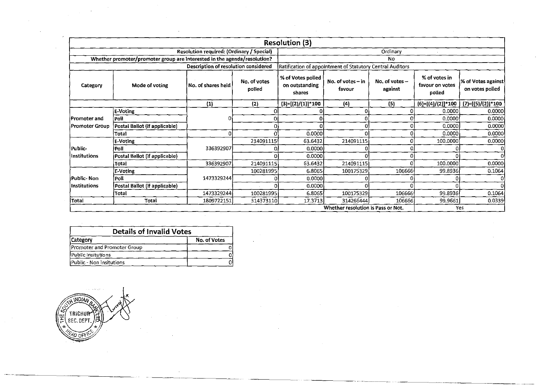|                       | <b>Resolution (3)</b>                                                    |                                           |                        |                                               |                                                           |                           |                                            |                                       |  |
|-----------------------|--------------------------------------------------------------------------|-------------------------------------------|------------------------|-----------------------------------------------|-----------------------------------------------------------|---------------------------|--------------------------------------------|---------------------------------------|--|
|                       |                                                                          | Resolution required: (Ordinary / Special) |                        | Ordinary                                      |                                                           |                           |                                            |                                       |  |
|                       | Whether promoter/promoter group are interested in the agenda/resolution? |                                           |                        |                                               |                                                           | No                        |                                            |                                       |  |
|                       |                                                                          | Description of resolution considered      |                        |                                               | Ratification of appointment of Statutory Central Auditors |                           |                                            |                                       |  |
| Category              | Mode of voting                                                           | No. of shares held                        | No. of votes<br>polled | % of Votes polled<br>on outstanding<br>shares | No. of votes $-$ in<br>favour                             | No. of votes -<br>against | % of votes in<br>favour on votes<br>polled | % of Votes against<br>on votes polled |  |
|                       |                                                                          | (1)                                       | (2)                    | $(3)=[(2)/(1)]*100$                           | (4)                                                       | (5)                       | (6)=[(4)/(2)]*100                          | $(7)=[(5)/(2)]*100$                   |  |
|                       | <b>E-Voting</b>                                                          |                                           |                        |                                               |                                                           |                           | 0.0000                                     | 0.0000                                |  |
| <b>IPromoter and</b>  | Poll                                                                     |                                           |                        |                                               |                                                           |                           | 0.0000                                     | 0.0000                                |  |
| <b>Promoter Group</b> | Postal Ballot (if applicable)                                            |                                           |                        |                                               |                                                           |                           | 0.0000                                     | 0.0000                                |  |
|                       | Totai                                                                    |                                           |                        | 0.0000                                        |                                                           |                           | 0.0000                                     | 0.0000                                |  |
|                       | <b>E-Voting</b>                                                          |                                           | 214091115              | 63.6432                                       | 214091115                                                 |                           | 100.0000                                   | 0.0000                                |  |
| Public-               | iPoll                                                                    | 336392907                                 |                        | 0.00001                                       |                                                           |                           |                                            | 0.                                    |  |
| Institutions          | Postal Ballot (if applicable)                                            |                                           |                        | 0.0000                                        |                                                           |                           |                                            | $\Omega$                              |  |
|                       | Total                                                                    | 336392907                                 | 214091115              | 63.6432                                       | 214091115                                                 |                           | 100.0000                                   | 0.0000                                |  |
|                       | <b>E-Voting</b>                                                          |                                           | 100281995              | 6.8065                                        | 100175329                                                 | 106666                    | 99.8936                                    | 0.1064                                |  |
| Public- Non           | Poll                                                                     | 1473329244                                |                        | 0.00001                                       |                                                           |                           |                                            | 0                                     |  |
| Institutions          | Postal Ballot (if applicable)                                            |                                           |                        | 0.0000                                        |                                                           |                           |                                            | $\Omega$                              |  |
|                       | Total                                                                    | 1473329244                                | 100281995              | 6.8065                                        | 100175329                                                 | 106666                    | 99.8936                                    | 0.1064                                |  |
| Total                 | Total                                                                    | 1809722151                                | 314373110              | 17.3713                                       | 314266444                                                 | 106666                    | 99.9661                                    | 0.0339                                |  |
|                       |                                                                          |                                           |                        |                                               | Whether resolution is Pass or Not.                        |                           |                                            | Yes                                   |  |

 $\sim 10^{-1}$ 

 $\Delta$ 

 $\mathcal{S}_{\mathcal{S}}$ 

 $\sim 10^{-1}$ 

 $\sim$ 

 $\mathcal{A}^{\pm}$ 

 $\sim 10^6$ 

 $\mathcal{L}_{\mathrm{eff}}$ 

| <b>Details of Invalid Votes</b> |  |  |  |  |  |
|---------------------------------|--|--|--|--|--|
| Category<br>No. of Votes        |  |  |  |  |  |
| Promoter and Promoter Group     |  |  |  |  |  |
| Public Insitutions              |  |  |  |  |  |
| Public - Non Insitutions        |  |  |  |  |  |

 $\sim 10^{-1}$ 

 $\epsilon$ 

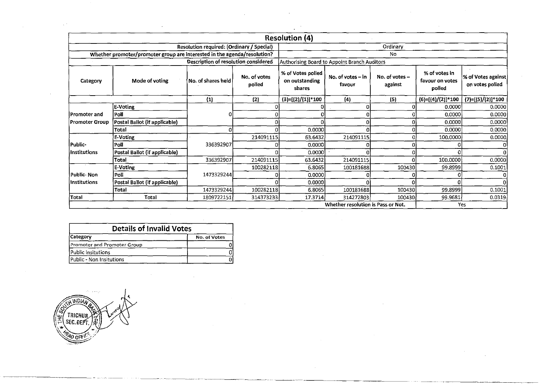|                     |                                                                          |                                           |                        | <b>Resolution (4)</b>                         |                                    |                           |                                            |                                       |
|---------------------|--------------------------------------------------------------------------|-------------------------------------------|------------------------|-----------------------------------------------|------------------------------------|---------------------------|--------------------------------------------|---------------------------------------|
|                     |                                                                          | Resolution required: (Ordinary / Special) |                        |                                               |                                    | Ordinary                  |                                            |                                       |
|                     | Whether promoter/promoter group are interested in the agenda/resolution? |                                           |                        |                                               |                                    | No                        |                                            |                                       |
|                     |                                                                          | Description of resolution considered      |                        | Authorising Board to Appoint Branch Auditors  |                                    |                           |                                            |                                       |
| Category            | Mode of voting                                                           | No. of shares held                        | No. of votes<br>polled | % of Votes polled<br>on outstanding<br>shares | No. of votes – in<br>favour        | No. of votes -<br>against | % of votes in<br>favour on votes<br>polled | % of Votes against<br>on votes polled |
|                     |                                                                          | (1)                                       | (2)                    | $(3)=[(2)/(1)]*100$                           | (4)                                | (5)                       | $(6)=[(4)/(2)]*100$                        | $(7)=[(5)/(2)]*100$                   |
|                     | E-Voting                                                                 |                                           |                        | n                                             |                                    |                           | 0.0000                                     | 0.0000                                |
| lPromoter and       | Poll                                                                     |                                           |                        |                                               |                                    |                           | 0.0000                                     | 0.0000                                |
| Promoter Group      | Postal Ballot (if applicable)                                            |                                           |                        | n                                             |                                    |                           | 0.0000                                     | 0.0000                                |
|                     | Total                                                                    | 0                                         |                        | 0.0000                                        |                                    |                           | 0.0000                                     | 0.0000                                |
|                     | E-Voting                                                                 |                                           | 214091115              | 63.6432                                       | 214091115                          |                           | 100.0000                                   | 0.0000                                |
| l Public-           | Poll                                                                     | 336392907                                 |                        | 0.0000                                        |                                    |                           |                                            | 0.                                    |
| Institutions        | Postal Ballot (if applicable)                                            |                                           |                        | 0.00001                                       |                                    |                           |                                            | οl                                    |
|                     | Total                                                                    | 336392907                                 | 214091115              | 63.6432                                       | 214091115                          |                           | 100.0000                                   | 0.0000                                |
|                     | <b>E-Voting</b>                                                          |                                           | 100282118              | 6.8065                                        | 100181688                          | 100430                    | 99.8999                                    | 0.1001                                |
| Public-Non          | <b>Poli</b>                                                              | 1473329244                                |                        | 0.0000                                        |                                    |                           |                                            | ΩI                                    |
| <b>Institutions</b> | Postal Ballot (if applicable)                                            |                                           |                        | 0.0000                                        |                                    |                           |                                            | n.                                    |
|                     | Total                                                                    | 1473329244                                | 100282118              | 6.8065                                        | 100181688                          | 100430                    | 99.8999                                    | 0.1001                                |
| <b>Total</b>        | Total                                                                    | 1809722151                                | 314373233              | 17.3714                                       | 314272803                          | 100430                    | 99.9681                                    | 0.0319                                |
|                     |                                                                          |                                           |                        |                                               | Whether resolution is Pass or Not. |                           |                                            | Yes                                   |

 $\label{eq:2.1} \frac{1}{\sqrt{2}}\int_{\mathbb{R}^3} \frac{1}{\sqrt{2}}\left(\frac{1}{\sqrt{2}}\right)^2\left(\frac{1}{\sqrt{2}}\right)^2\left(\frac{1}{\sqrt{2}}\right)^2\left(\frac{1}{\sqrt{2}}\right)^2\left(\frac{1}{\sqrt{2}}\right)^2\left(\frac{1}{\sqrt{2}}\right)^2\left(\frac{1}{\sqrt{2}}\right)^2.$ 

 $\label{eq:2.1} \frac{1}{\sqrt{2}}\sum_{i=1}^n\frac{1}{\sqrt{2}}\sum_{i=1}^n\frac{1}{\sqrt{2}}\sum_{i=1}^n\frac{1}{\sqrt{2}}\sum_{i=1}^n\frac{1}{\sqrt{2}}\sum_{i=1}^n\frac{1}{\sqrt{2}}\sum_{i=1}^n\frac{1}{\sqrt{2}}\sum_{i=1}^n\frac{1}{\sqrt{2}}\sum_{i=1}^n\frac{1}{\sqrt{2}}\sum_{i=1}^n\frac{1}{\sqrt{2}}\sum_{i=1}^n\frac{1}{\sqrt{2}}\sum_{i=1}^n\frac$ 

 $\frac{1}{2} \left( \frac{1}{2} \right)$ 

 $\sim$  4  $^{\circ}$ 

 $\frac{1}{2} \frac{1}{2} \frac{1}{2} \frac{1}{2} \frac{1}{2}$ 

| <b>Details of Invalid Votes</b> |  |  |  |  |  |
|---------------------------------|--|--|--|--|--|
| Category<br>No. of Votes        |  |  |  |  |  |
| Promoter and Promoter Group     |  |  |  |  |  |
| lPublic Insitutions             |  |  |  |  |  |
| Public - Non Insitutions        |  |  |  |  |  |

 $\mathcal{L}^{\text{max}}_{\text{max}}$  and  $\mathcal{L}^{\text{max}}_{\text{max}}$ 



 $\sim$ 

 $\mathcal{L}^{\text{max}}_{\text{max}}$  and  $\mathcal{L}^{\text{max}}_{\text{max}}$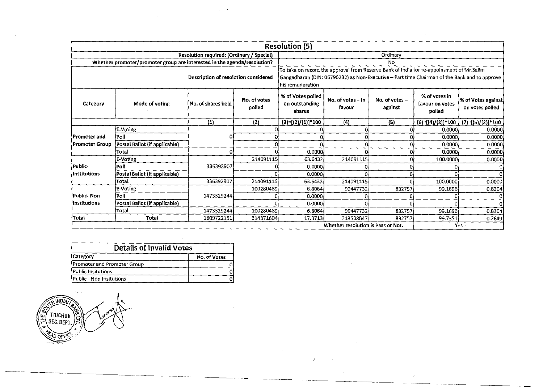| <b>Resolution (5)</b>                |                                                                          |                                           |                        |                                                                                                                                                                                                               |                                    |                           |                                            |                                       |
|--------------------------------------|--------------------------------------------------------------------------|-------------------------------------------|------------------------|---------------------------------------------------------------------------------------------------------------------------------------------------------------------------------------------------------------|------------------------------------|---------------------------|--------------------------------------------|---------------------------------------|
|                                      |                                                                          | Resolution required: (Ordinary / Special) |                        | Ordinary                                                                                                                                                                                                      |                                    |                           |                                            |                                       |
|                                      | Whether promoter/promoter group are interested in the agenda/resolution? |                                           |                        |                                                                                                                                                                                                               |                                    | No                        |                                            |                                       |
| Description of resolution considered |                                                                          |                                           |                        | To take on record the approval from Reserve Bank of India for re-appointment of Mr.Salim<br>Gangadharan (DIN: 06796232) as Non-Executive - Part time Chairman of the Bank and to approve<br>lhis remuneration |                                    |                           |                                            |                                       |
| Category                             | Mode of voting                                                           | No. of shares held                        | No. of votes<br>polled | % of Votes polled<br>on outstanding<br>shares                                                                                                                                                                 | No. of votes - in<br>favour        | No. of votes -<br>against | % of votes in<br>favour on votes<br>polled | % of Votes against<br>on votes polled |
|                                      |                                                                          | (1)                                       | (2)                    | $(3)=[(2)/(1)]*100$                                                                                                                                                                                           | (4)                                | (5)                       | $\underline{6}$ = [(4)/(2)]*100            | $(7)=[(5)/(2)]*100$                   |
|                                      | E-Voting                                                                 |                                           |                        |                                                                                                                                                                                                               |                                    |                           | 0.0000                                     | 0.0000                                |
| !Promoter and                        | Poll                                                                     |                                           |                        |                                                                                                                                                                                                               |                                    |                           | 0.0000                                     | 0.0000                                |
| !Promoter Group                      | Postal Ballot (if applicable)                                            |                                           |                        |                                                                                                                                                                                                               |                                    |                           | 0.0000                                     | 0.0000                                |
|                                      | Total                                                                    |                                           |                        | 0.00001                                                                                                                                                                                                       |                                    |                           | 0.0000                                     | 0.0000                                |
|                                      | E-Voting                                                                 |                                           | 214091115              | 63.6432                                                                                                                                                                                                       | 214091115                          |                           | 100,0000                                   | 0.0000                                |
| Public-                              | Poll                                                                     | 336392907                                 |                        | 0.0000                                                                                                                                                                                                        |                                    |                           |                                            | 01                                    |
| Institutions                         | Postal Ballot (if applicable)                                            |                                           |                        | 0.00001                                                                                                                                                                                                       | Ω                                  |                           |                                            | $\mathbf{0}$                          |
|                                      | Total                                                                    | 336392907                                 | 214091115              | 63.6432                                                                                                                                                                                                       | 214091115                          |                           | 100.0000                                   | 0.0000                                |
|                                      | E-Voting                                                                 |                                           | 100280489              | 6.8064                                                                                                                                                                                                        | 99447732                           | 832757                    | 99.1696                                    | 0.8304                                |
| Public- Non                          | Poll                                                                     | 1473329244                                |                        | 0.0000                                                                                                                                                                                                        |                                    |                           |                                            |                                       |
| <b>Institutions</b>                  | Postal Ballot (if applicable)                                            |                                           |                        | 0.0000                                                                                                                                                                                                        |                                    |                           |                                            | $\Omega$                              |
|                                      | Total                                                                    | 1473329244                                | 100280489              | 6.8064                                                                                                                                                                                                        | 99447732                           | 832757                    | 99.1696                                    | 0.8304                                |
| Total                                | Total                                                                    | 1809722151                                | 314371604              | 17.3713                                                                                                                                                                                                       | 313538847                          | 832757                    | 99.7351                                    | 0.2649                                |
|                                      |                                                                          |                                           |                        |                                                                                                                                                                                                               | Whether resolution is Pass or Not. |                           |                                            | Yes.                                  |

 $\sim 10^7$ 

 $\mathcal{L}^{\pm}$ 

 $\sim 10^6$ 

 $\sim 10^7$ 

 $\label{eq:2.1} \mathcal{L}(\mathcal{A}) = \mathcal{L}(\mathcal{A}) = \mathcal{L}(\mathcal{A}) = \mathcal{L}(\mathcal{A})$ 

 $\sim 10^{-1}$ 

 $\mathcal{L}^{\mathcal{L}}$ 

 $\sim$ 

| <b>Details of Invalid Votes</b> |  |  |  |  |  |
|---------------------------------|--|--|--|--|--|
| Category<br>No. of Votes        |  |  |  |  |  |
| Promoter and Promoter Group     |  |  |  |  |  |
| Public Insitutions              |  |  |  |  |  |
| Public - Non Insitutions        |  |  |  |  |  |

 $\mathcal{L}^{\mathcal{A}}$ 



 $\sim$ 

 $\sim$   $\sim$ 

 $\sim$ 

 $\sim 10^7$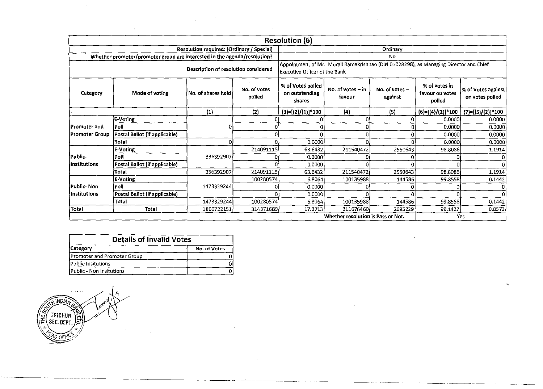|                                      | <b>Resolution (6)</b>                                                    |                                           |                                |                                                                                       |                             |                           |                                            |                                               |  |  |  |  |
|--------------------------------------|--------------------------------------------------------------------------|-------------------------------------------|--------------------------------|---------------------------------------------------------------------------------------|-----------------------------|---------------------------|--------------------------------------------|-----------------------------------------------|--|--|--|--|
|                                      |                                                                          | Resolution required: (Ordinary / Special) |                                |                                                                                       |                             | Ordinary                  |                                            |                                               |  |  |  |  |
|                                      | Whether promoter/promoter group are interested in the agenda/resolution? |                                           |                                |                                                                                       |                             | No                        |                                            |                                               |  |  |  |  |
| Description of resolution considered |                                                                          |                                           | Executive Officer of the Bank! | Appointment of Mr. Murali Ramakrishnan (DIN 01028298), as Managing Director and Chief |                             |                           |                                            |                                               |  |  |  |  |
| Category                             | Mode of voting                                                           | No. of shares held                        | No. of votes<br>polled         | % of Votes polled<br>on outstanding<br>shares                                         | No. of votes - in<br>favour | No. of votes -<br>against | % of votes in<br>fayour on votes<br>polled | <b>1% of Votes against</b><br>on votes polled |  |  |  |  |
|                                      |                                                                          | (1)                                       | (2)                            | $(3)=[(2)/(1)]*100$                                                                   | (4)                         | (5)                       | $(6)=[(4)/(2)]*100$                        | $(7)=[(5)/(2)]*100$                           |  |  |  |  |
|                                      | <b>E-Voting</b>                                                          |                                           |                                |                                                                                       |                             |                           | 0.0000                                     | 0.0000                                        |  |  |  |  |
| <b>Promoter</b> and                  | <b>Poll</b>                                                              |                                           |                                | 0                                                                                     |                             |                           | 0.0000                                     | 0.0000                                        |  |  |  |  |
| Promoter Group                       | Postal Ballot (if applicable)                                            |                                           |                                |                                                                                       |                             |                           | 0.0000                                     | 0.0000                                        |  |  |  |  |
|                                      | Total                                                                    | O                                         |                                | 0.0000                                                                                |                             |                           | 0.0000                                     | 0.0000                                        |  |  |  |  |
|                                      | E-Voting                                                                 |                                           | 214091115                      | 63.6432                                                                               | 211540472                   | 2550643                   | 98.8086                                    | 1.1914                                        |  |  |  |  |
| Public-                              | <b>Poll</b>                                                              | 336392907                                 | n                              | 0.0000                                                                                |                             | n                         |                                            | Ω                                             |  |  |  |  |
| Institutions                         | Postal Ballot (if applicable)                                            |                                           |                                | 0.0000                                                                                |                             |                           |                                            | $\Omega$                                      |  |  |  |  |
|                                      | Total                                                                    | 336392907                                 | 214091115                      | 63.6432                                                                               | 211540472                   | 2550643                   | 98.8086                                    | 1.1914                                        |  |  |  |  |
|                                      | E-Voting                                                                 |                                           | 100280574                      | 6.8064                                                                                | 100135988                   | 144586                    | 99.8558                                    | 0.1442                                        |  |  |  |  |
| lPublic- Non                         | Poll                                                                     | 1473329244                                |                                | 0.0000                                                                                |                             |                           |                                            |                                               |  |  |  |  |
| Institutions                         | Postal Ballot (if applicable)                                            |                                           |                                | 0.0000                                                                                |                             |                           |                                            | $\Omega$                                      |  |  |  |  |
|                                      | Total                                                                    | 1473329244                                | 100280574                      | 6.8064                                                                                | 100135988                   | 144586                    | 99.8558                                    | 0.1442                                        |  |  |  |  |
| Total                                | Total                                                                    | 1809722151                                | 314371689                      | 17.3713                                                                               | 311676460                   | 2695229                   | 99.1427                                    | 0.8573                                        |  |  |  |  |
|                                      |                                                                          |                                           |                                |                                                                                       |                             |                           | Whether resolution is Pass or Not.<br>Yes  |                                               |  |  |  |  |

 $\mathcal{A}^{\mathcal{A}}$ 

 $\sim$ 

 $\sim$   $\sim$ 

··---.. -·---·----.~. --

| <b>Details of Invalid Votes</b> |              |  |  |  |
|---------------------------------|--------------|--|--|--|
| <b>Category</b>                 | No. of Votes |  |  |  |
| Promoter and Promoter Group     |              |  |  |  |
| l Public Insitutions            |              |  |  |  |
| Public - Non Insitutions        |              |  |  |  |

 $\label{eq:2.1} \frac{1}{\sqrt{2}}\int_{\mathbb{R}^3}\frac{1}{\sqrt{2}}\left(\frac{1}{\sqrt{2}}\right)^2\frac{1}{\sqrt{2}}\left(\frac{1}{\sqrt{2}}\right)^2\frac{1}{\sqrt{2}}\left(\frac{1}{\sqrt{2}}\right)^2\frac{1}{\sqrt{2}}\left(\frac{1}{\sqrt{2}}\right)^2\frac{1}{\sqrt{2}}\left(\frac{1}{\sqrt{2}}\right)^2\frac{1}{\sqrt{2}}\frac{1}{\sqrt{2}}\frac{1}{\sqrt{2}}\frac{1}{\sqrt{2}}\frac{1}{\sqrt{2}}\frac{1}{\sqrt{2}}$ 

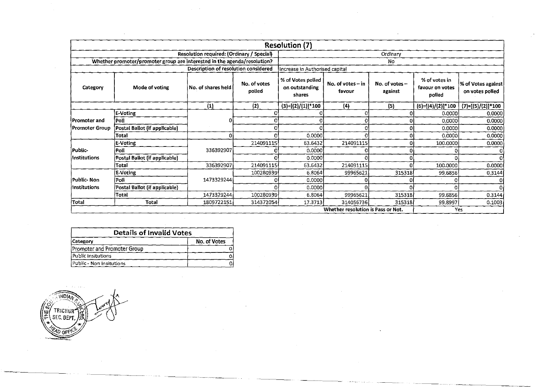| <b>Resolution (7)</b>                     |                                                                          |                                      |                        |                                               |                                    |                             |                                            |                                       |  |
|-------------------------------------------|--------------------------------------------------------------------------|--------------------------------------|------------------------|-----------------------------------------------|------------------------------------|-----------------------------|--------------------------------------------|---------------------------------------|--|
| Resolution required: (Ordinary / Special) |                                                                          |                                      |                        | Ordinary                                      |                                    |                             |                                            |                                       |  |
|                                           | Whether promoter/promoter group are interested in the agenda/resolution? |                                      |                        |                                               |                                    | No                          |                                            |                                       |  |
|                                           |                                                                          | Description of resolution considered |                        | Increase in Authorised capital                |                                    |                             |                                            |                                       |  |
| Category                                  | Mode of voting                                                           | No. of shares held                   | No. of votes<br>polled | % of Votes polled<br>on outstanding<br>shares | No. of votes $-$ in<br>favour      | No. of votes $-$<br>against | % of votes in<br>favour on votes<br>polled | % of Votes against<br>on votes polled |  |
|                                           |                                                                          | (1)                                  | (2)                    | $(3)=[(2)/(1)]*100$                           | (4)                                | (5)                         | $(6)=[(4)/(2)]*100$                        | $(7)=[(5)/(2)]*100$                   |  |
|                                           | <b>E-Voting</b>                                                          |                                      |                        |                                               |                                    |                             | 0.0000                                     | 0.0000                                |  |
| Promoter and                              | lPoll                                                                    |                                      |                        |                                               |                                    |                             | 0.0000                                     | 0.0000                                |  |
| Promoter Group                            | Postal Ballot (if applicable)                                            |                                      |                        |                                               |                                    |                             | 0.0000                                     | 0.0000                                |  |
|                                           | Total                                                                    | 0                                    |                        | 0.0000                                        |                                    |                             | 0.0000                                     | 0.0000                                |  |
|                                           | E-Voting                                                                 |                                      | 214091115              | 63.6432                                       | 214091115                          |                             | 100.0000                                   | 0.0000                                |  |
| Public-                                   | Poll                                                                     | 336392907                            |                        | 0.0000                                        |                                    |                             |                                            |                                       |  |
| Institutions                              | Postal Ballot (if applicable)                                            |                                      |                        | 0.0000                                        |                                    |                             |                                            | ∩                                     |  |
|                                           | Total                                                                    | 336392907                            | 214091115              | 63.6432                                       | 214091115                          |                             | 100.0000                                   | 0.0000                                |  |
|                                           | E-Voting                                                                 |                                      | 100280939              | 6.8064                                        | 99965621                           | 315318                      | 99.6856                                    | 0.3144                                |  |
| Public- Non                               | lPoll                                                                    | 1473329244                           |                        | 0.00001                                       |                                    |                             | ΩI                                         | 0                                     |  |
| Institutions                              | Postal Ballot (if applicable)                                            |                                      |                        | 0.00001                                       |                                    |                             |                                            |                                       |  |
|                                           | Total                                                                    | 1473329244                           | 100280939              | 6.8064                                        | 99965621                           | 315318                      | 99.6856                                    | 0.3144                                |  |
| <b>Total</b>                              | Total                                                                    | 1809722151                           | 314372054              | 17.3713                                       | 314056736                          | 315318                      | 99.8997                                    | 0.1003                                |  |
|                                           |                                                                          |                                      |                        |                                               | Whether resolution is Pass or Not. |                             |                                            | <b>Yes</b>                            |  |

| <b>Details of Invalid Votes</b> |  |  |  |  |  |
|---------------------------------|--|--|--|--|--|
| No. of Votes<br>Category        |  |  |  |  |  |
| Promoter and Promoter Group     |  |  |  |  |  |
| Public Insitutions              |  |  |  |  |  |
| Public - Non Insitutions        |  |  |  |  |  |

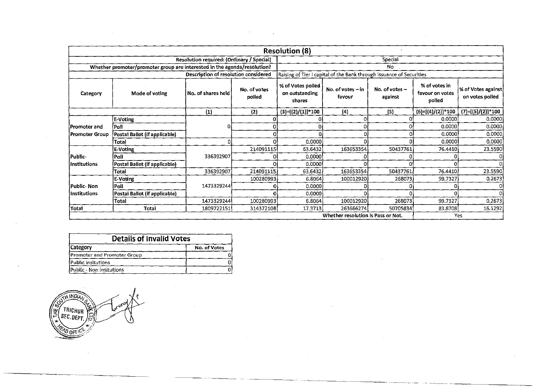| <b>Resolution (8)</b> |                                                                          |                                      |                        |                                               |                                                                      |                           |                                            |                                       |  |
|-----------------------|--------------------------------------------------------------------------|--------------------------------------|------------------------|-----------------------------------------------|----------------------------------------------------------------------|---------------------------|--------------------------------------------|---------------------------------------|--|
|                       | Resolution required: (Ordinary / Special)                                |                                      |                        |                                               | Special                                                              |                           |                                            |                                       |  |
|                       | Whether promoter/promoter group are interested in the agenda/resolution? |                                      |                        |                                               |                                                                      | No                        |                                            |                                       |  |
|                       |                                                                          | Description of resolution considered |                        |                                               | Raising of Tier I capital of the Bank through issuance of Securities |                           |                                            |                                       |  |
| Category              | Mode of voting                                                           | No. of shares held                   | No. of votes<br>polled | % of Votes polled<br>on outstanding<br>shares | No. of votes -- in<br>favour                                         | No. of votes -<br>against | % of votes in<br>favour on votes<br>polled | % of Votes against<br>on votes polled |  |
|                       |                                                                          | (1)                                  | (2)                    | $(3)=[(2)/(1)]*100$                           | (4)                                                                  | (5)                       | $(6)=[(4)/(2)]*100$                        | (7)=[(5)/(2)]*100                     |  |
|                       | E-Voting                                                                 |                                      |                        |                                               |                                                                      |                           | 0.0000                                     | 0.0000                                |  |
| iPromoter and         | 'Poll                                                                    |                                      |                        |                                               |                                                                      |                           | 0.0000                                     | 0.0000                                |  |
| !Promoter Group       | Postal Ballot (if applicable)                                            |                                      |                        |                                               |                                                                      |                           | 0.0000                                     | 0.0000                                |  |
|                       | Total                                                                    |                                      |                        | 0.0000                                        |                                                                      |                           | 0.0000                                     | 0.0000                                |  |
|                       | E-Voting                                                                 |                                      | 214091115              | 63.6432                                       | 163653354                                                            | 50437761                  | 76.4410                                    | 23.5590                               |  |
| Public-               | Poll                                                                     | 336392907                            |                        | 0.0000                                        |                                                                      |                           |                                            |                                       |  |
| Institutions          | Postal Ballot (if applicable)                                            |                                      |                        | 0.0000                                        |                                                                      |                           |                                            |                                       |  |
|                       | Total                                                                    | 336392907                            | 214091115              | 63.6432                                       | 163653354                                                            | 50437761                  | 76.4410                                    | 23.5590                               |  |
|                       | E-Voting                                                                 |                                      | 100280993              | 6.8064                                        | 100012920                                                            | 268073                    | 99.7327                                    | 0.2673                                |  |
| Public-Non            | Poll                                                                     | 1473329244                           |                        | 0.0000                                        |                                                                      |                           |                                            |                                       |  |
| Institutions          | Postal Ballot (if applicable)                                            |                                      |                        | 0.0000                                        |                                                                      |                           |                                            |                                       |  |
|                       | Total                                                                    | 1473329244                           | 100280993              | 6.8064                                        | 100012920                                                            | 268073                    | 99.7327                                    | 0.2673                                |  |
| Total                 | Total                                                                    | 1809722151                           | 314372108              | 17.3713                                       | 263666274                                                            | 50705834                  | 83.8708                                    | 16.1292                               |  |
|                       |                                                                          |                                      |                        |                                               | Whether resolution is Pass or Not.                                   |                           |                                            | Yes                                   |  |

 $\sim 10^{-1}$ 

 $\mathcal{A}$ 

~---··-~----· ·--~-

 $\sim 10^{-1}$ 

 $\hat{\mathcal{A}}$ 

| <b>Details of Invalid Votes</b> |              |  |  |  |
|---------------------------------|--------------|--|--|--|
| <b>Category</b>                 | No. of Votes |  |  |  |
| Promoter and Promoter Group     |              |  |  |  |
| Public Insitutions              |              |  |  |  |
| Public - Non Insitutions        |              |  |  |  |

A INDI Leraray  $\left(\begin{smallmatrix} \texttt{TRICHUR} \texttt{SEC} \texttt{.} \texttt{DEPT} \end{smallmatrix} \right)$ 

 $\sim$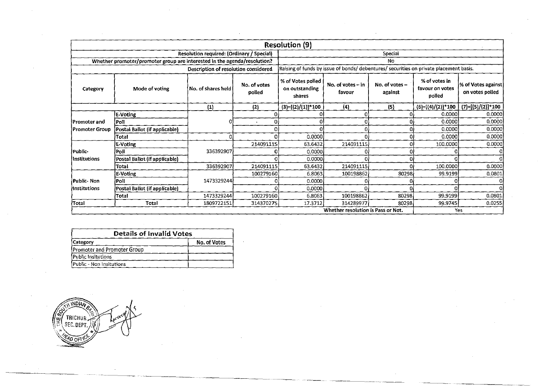| <b>Resolution (9)</b>                     |                                                                          |                                      |                        |                                                                                      |                               |                           |                                            |                                       |
|-------------------------------------------|--------------------------------------------------------------------------|--------------------------------------|------------------------|--------------------------------------------------------------------------------------|-------------------------------|---------------------------|--------------------------------------------|---------------------------------------|
| Resolution required: (Ordinary / Special) |                                                                          |                                      |                        | Special                                                                              |                               |                           |                                            |                                       |
|                                           | Whether promoter/promoter group are interested in the agenda/resolution? |                                      |                        |                                                                                      |                               | No                        |                                            |                                       |
|                                           |                                                                          | Description of resolution considered |                        | Raising of funds by issue of bonds/debentures/securities on private placement basis. |                               |                           |                                            |                                       |
| Category                                  | Mode of voting                                                           | No. of shares held                   | No. of votes<br>polled | % of Votes polled<br>on outstanding<br>shares                                        | No. of votes $-$ in<br>favour | No. of votes -<br>against | % of votes in<br>favour on votes<br>polled | % of Votes against<br>on votes polled |
|                                           |                                                                          | (1)                                  | (2)                    | $(3)=[(2)/(1)]*100$                                                                  | (4)                           | (5)                       | $(6)=[(4)/(2)]*100$                        | $(7)=[(5)/(2)]*100$                   |
|                                           | E-Voting                                                                 |                                      |                        |                                                                                      |                               | Ð                         | 0.0000                                     | 0.0000                                |
| Promoter and                              | Poll                                                                     |                                      | $\sim$                 |                                                                                      |                               |                           | 0.0000                                     | 0.0000                                |
| !Promoter Group                           | Postal Ballot (if applicable)                                            |                                      |                        |                                                                                      |                               |                           | 0.0000                                     | 0.0000                                |
|                                           | Total                                                                    |                                      |                        | 0.0000                                                                               |                               |                           | 0.0000                                     | 0.0000                                |
|                                           | E-Voting                                                                 |                                      | 214091115              | 63.6432                                                                              | 214091115                     |                           | 100.0000                                   | 0.0000                                |
| /Public-                                  | Poli                                                                     | 336392907                            |                        | 0.0000                                                                               |                               |                           |                                            |                                       |
| lnstitutions!                             | Postal Ballot (if applicable)                                            |                                      |                        | 0.0000                                                                               |                               |                           |                                            |                                       |
|                                           | Total                                                                    | 336392907                            | 214091115              | 63.6432                                                                              | 214091115                     | n                         | 100.0000                                   | 0.0000                                |
|                                           | E-Voting                                                                 |                                      | 100279160              | 6.8063                                                                               | 100198862                     | 80298                     | 99.9199                                    | 0.0801                                |
| Public-Non                                | Poll                                                                     | 1473329244                           |                        | 0.0000                                                                               |                               |                           |                                            |                                       |
| {Institutions                             | Postal Ballot (if applicable)                                            |                                      |                        | 0.0000                                                                               |                               |                           |                                            |                                       |
|                                           | Total                                                                    | 1473329244                           | 100279160              | 6.8063                                                                               | 100198862                     | 80298                     | 99.9199                                    | 0.0801                                |
| Total                                     | Total                                                                    | 1809722151                           | 314370275              | 17.3712                                                                              | 314289977                     | 80298                     | 99.9745                                    | 0.0255                                |
|                                           |                                                                          |                                      |                        | Whether resolution is Pass or Not.                                                   |                               |                           | Yes                                        |                                       |

| <b>Details of Invalid Votes</b> |              |  |  |  |
|---------------------------------|--------------|--|--|--|
| <b>Category</b>                 | No. of Votes |  |  |  |
| Promoter and Promoter Group     |              |  |  |  |
| Public Insitutions              |              |  |  |  |
| Public - Non Insitutions        |              |  |  |  |

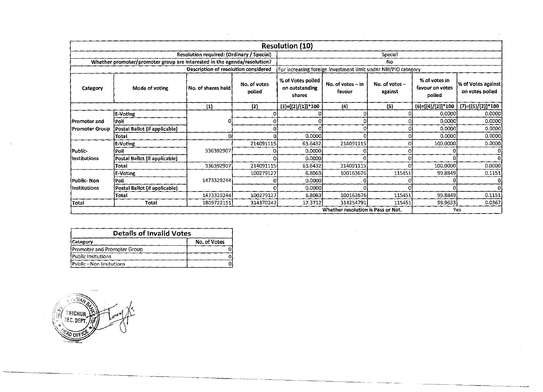| <b>Resolution (10)</b> |                                                                          |                                           |                        |                                               |                                                                |                             |                                            |                                       |
|------------------------|--------------------------------------------------------------------------|-------------------------------------------|------------------------|-----------------------------------------------|----------------------------------------------------------------|-----------------------------|--------------------------------------------|---------------------------------------|
|                        |                                                                          | Resolution required: (Ordinary / Special) |                        |                                               |                                                                | Special                     |                                            |                                       |
|                        | Whether promoter/promoter group are interested in the agenda/resolution? |                                           |                        |                                               |                                                                | No                          |                                            |                                       |
|                        |                                                                          | Description of resolution considered      |                        |                                               | For increasing foreign investment limit under NRI/PIO category |                             |                                            |                                       |
| Category               | Mode of voting                                                           | No. of shares held                        | No. of votes<br>polled | % of Votes polled<br>on outstanding<br>shares | No. of votes – in<br>favour                                    | No. of votes $-$<br>against | % of votes in<br>favour on votes<br>polled | % of Votes against<br>on votes polled |
|                        |                                                                          | $(1)$                                     | (2)                    | $(3)=[(2)/(1)]*100$                           | (4)                                                            | (5)                         | $(6)=[(4)/(2)]*100$                        | $(7)=(5)/(2)]*100$                    |
|                        | E-Voting                                                                 |                                           |                        |                                               |                                                                |                             | 0.0000                                     | 0.0000                                |
| <b>Promoter and</b>    | Poll                                                                     |                                           |                        |                                               |                                                                |                             | 0.0000                                     | 0.0000                                |
| <b>!Promoter Group</b> | Postal Ballot (if applicable)                                            |                                           |                        |                                               |                                                                |                             | 0.0000                                     | 0.0000                                |
|                        | Total                                                                    |                                           |                        | 0.0000                                        |                                                                |                             | 0.0000                                     | 0.0000                                |
|                        | <b>E-Voting</b>                                                          |                                           | 214091115              | 63.6432                                       | 214091115                                                      |                             | 100,0000                                   | 0.0000                                |
| Public-                | Poli                                                                     | 336392907                                 |                        | 0.0000                                        |                                                                |                             |                                            |                                       |
| Institutions           | Postal Ballot (if applicable)                                            |                                           |                        | 0.00001                                       |                                                                |                             |                                            |                                       |
|                        | Total                                                                    | 336392907                                 | 214091115              | 63.6432                                       | 214091115                                                      |                             | 100.0000                                   | 0.0000                                |
|                        | E-Voting                                                                 |                                           | 100279127              | 6.8063                                        | 100163676                                                      | 115451                      | 99.8849                                    | 0.1151                                |
| lPublic- Non           | <b>Poll</b>                                                              | 1473329244                                |                        | 0.0000                                        |                                                                |                             |                                            |                                       |
| Institutions           | Postal Ballot (if applicable)                                            |                                           |                        | 0.0000                                        |                                                                |                             |                                            |                                       |
|                        | Total                                                                    | 1473329244                                | 100279127              | 6.8063                                        | 100163676                                                      | 115451                      | 99.8849                                    | 0.1151                                |
| Total                  | <b>Total</b>                                                             | 1809722151                                | 314370242              | 17.3712                                       | 314254791                                                      | 115451                      | 99.9633                                    | 0.0367                                |
|                        |                                                                          |                                           |                        |                                               | Whether resolution is Pass or Not.                             |                             |                                            | Yes                                   |

| <b>Details of Invalid Votes</b> |  |  |  |  |  |
|---------------------------------|--|--|--|--|--|
| No. of Votes<br> Category       |  |  |  |  |  |
| Promoter and Promoter Group     |  |  |  |  |  |
| Public Insitutions              |  |  |  |  |  |
| Public - Non Insitutions        |  |  |  |  |  |



~----~-·---~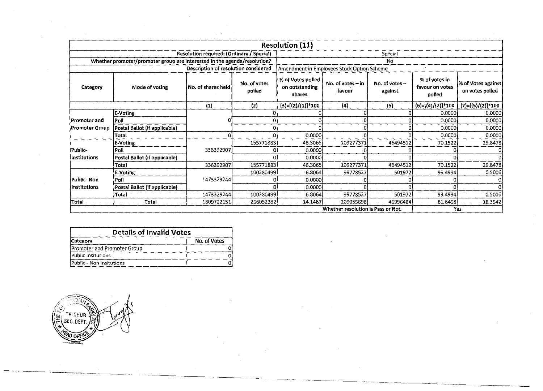|                |                                                                          |                                                                  |                        | <b>Resolution (11)</b>                        |                                            |                             |                                            |                                       |  |  |  |
|----------------|--------------------------------------------------------------------------|------------------------------------------------------------------|------------------------|-----------------------------------------------|--------------------------------------------|-----------------------------|--------------------------------------------|---------------------------------------|--|--|--|
|                |                                                                          | Resolution required: (Ordinary / Special)                        |                        |                                               |                                            | Special                     |                                            |                                       |  |  |  |
|                | Whether promoter/promoter group are interested in the agenda/resolution? |                                                                  |                        |                                               | No                                         |                             |                                            |                                       |  |  |  |
|                |                                                                          |                                                                  |                        |                                               | Amendment in Employees Stock Option Scheme |                             |                                            |                                       |  |  |  |
| Category       | Mode of voting                                                           | No. of shares held                                               | No. of votes<br>polled | % of Votes polled<br>on outstanding<br>shares | No. of votes $-$ in<br>favour              | No. of votes $-$<br>against | % of votes in<br>favour on votes<br>polled | % of Votes against<br>on votes polled |  |  |  |
|                |                                                                          | (1)                                                              | (2)                    | $(3)=[(2)/(1)]*100$                           | $\{4\}$                                    | (5)                         | (6)=[(4)/(2)]*100                          | $(7)=[(5)/(2)]*100$                   |  |  |  |
|                | E-Voting                                                                 |                                                                  |                        |                                               |                                            |                             | 0.0000                                     | 0.0000                                |  |  |  |
| lPromoter and  | Poll                                                                     | 336392907<br>336392907<br>1473329244<br>1473329244<br>1809722151 |                        |                                               |                                            |                             | 0.0000                                     | 0.0000                                |  |  |  |
| Promoter Group | Postal Ballot (if applicable)                                            |                                                                  | ΩI                     |                                               |                                            |                             | 0.0000                                     | 0.0000                                |  |  |  |
|                | Total                                                                    |                                                                  |                        | 0.0000                                        |                                            |                             | 0.0000                                     | 0.0000                                |  |  |  |
|                | E-Voting                                                                 |                                                                  | 155771883              | 46.3065                                       | 109277371                                  | 46494512                    | 70.1522                                    | 29.8478                               |  |  |  |
| Public-        | Poll                                                                     |                                                                  |                        | 0.0000                                        |                                            |                             |                                            |                                       |  |  |  |
| Institutions   | Postal Ballot (if applicable)                                            |                                                                  |                        | 0.0000                                        |                                            |                             |                                            |                                       |  |  |  |
|                | Total                                                                    |                                                                  | 155771883              | 46.3065                                       | 109277371                                  | 46494512                    | 70.1522                                    | 29.8478                               |  |  |  |
|                | E-Voting                                                                 |                                                                  | 100280499              | 6.8064                                        | 99778527                                   | 501972                      | 99.4994                                    | 0.5006                                |  |  |  |
| Public- Non    | Poll                                                                     | Description of resolution considered                             |                        | 0.0000                                        |                                            |                             |                                            |                                       |  |  |  |
| linstitutions  | Postal Ballot (if applicable)                                            |                                                                  |                        | 0.0000                                        |                                            |                             |                                            |                                       |  |  |  |
|                | Total                                                                    |                                                                  | 100280499              | 6.8064                                        | 99778527                                   | 501972                      | 99.4994                                    | 0.5006                                |  |  |  |
| Total          | Total                                                                    |                                                                  | 256052382              | 14.1487                                       | 209055898                                  | 46996484                    | 81,6458                                    | 18.3542                               |  |  |  |
|                |                                                                          |                                                                  |                        |                                               | Whether resolution is Pass or Not.         |                             |                                            | Yes                                   |  |  |  |

 $\hat{\mathcal{L}}^{\text{in}}$ 

 $\sim 10^{-1}$ 

 $\frac{1}{2}$ 

 $\sim 10^{-1}$ 

 $\sim 10^6$ 

 $\sim 10^{-1}$ 

| <b>Details of Invalid Votes</b> |              |  |  |  |  |  |
|---------------------------------|--------------|--|--|--|--|--|
| (Category                       | No. of Votes |  |  |  |  |  |
| Promoter and Promoter Group     |              |  |  |  |  |  |
| iPublic Insitutions             |              |  |  |  |  |  |
| [Public - Non Insitutions       |              |  |  |  |  |  |

 $\mathcal{L}(\mathcal{L}(\mathcal{L}(\mathcal{L}(\mathcal{L}(\mathcal{L}(\mathcal{L}(\mathcal{L}(\mathcal{L}(\mathcal{L}(\mathcal{L}(\mathcal{L}(\mathcal{L}(\mathcal{L}(\mathcal{L}(\mathcal{L}(\mathcal{L}(\mathcal{L}(\mathcal{L}(\mathcal{L}(\mathcal{L}(\mathcal{L}(\mathcal{L}(\mathcal{L}(\mathcal{L}(\mathcal{L}(\mathcal{L}(\mathcal{L}(\mathcal{L}(\mathcal{L}(\mathcal{L}(\mathcal{L}(\mathcal{L}(\mathcal{L}(\mathcal{L}(\mathcal{L}(\mathcal{$ 



 $\mathcal{L}^{\text{max}}_{\text{max}}$  and  $\mathcal{L}^{\text{max}}_{\text{max}}$  and  $\mathcal{L}^{\text{max}}_{\text{max}}$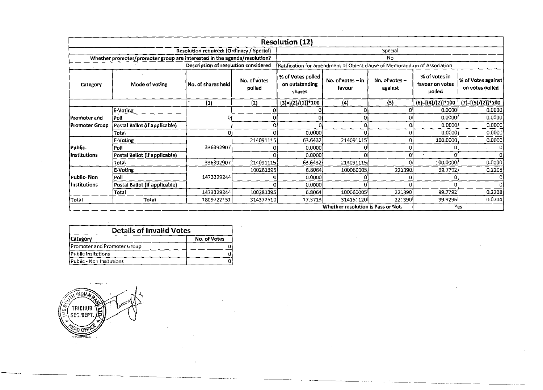|                     |                                                                          |                                           |                        | <b>Resolution (12)</b>                        |                                                                          |                           |                                            |                                       |   |  |  |
|---------------------|--------------------------------------------------------------------------|-------------------------------------------|------------------------|-----------------------------------------------|--------------------------------------------------------------------------|---------------------------|--------------------------------------------|---------------------------------------|---|--|--|
|                     |                                                                          | Resolution required: (Ordinary / Special) | Special                |                                               |                                                                          |                           |                                            |                                       |   |  |  |
|                     | Whether promoter/promoter group are interested in the agenda/resolution? |                                           |                        | No                                            |                                                                          |                           |                                            |                                       |   |  |  |
|                     |                                                                          | Description of resolution considered      |                        |                                               | Ratification for amendment of Object clause of Memorandum of Association |                           |                                            |                                       |   |  |  |
| Category            | Mode of voting                                                           | No. of shares held                        | No. of votes<br>polled | % of Votes polled<br>on outstanding<br>shares | No. of votes $-$ in<br>favour                                            | No. of votes -<br>against | % of votes in<br>favour on votes<br>polled | % of Votes against<br>on votes polled |   |  |  |
|                     |                                                                          | (1)                                       | (2)                    | $(3)=[(2)/(1)]*100$                           | (4)                                                                      | (5)                       | $(6)=[(4)/(2)]*100$                        | $(7)=[(5)/(2)]*100$                   |   |  |  |
|                     | E-Voting                                                                 |                                           |                        |                                               |                                                                          |                           | 0.0000                                     | 0.0000                                |   |  |  |
| Promoter and        | (Poll                                                                    | Ω                                         | ΩI                     |                                               |                                                                          |                           | 0.0000                                     | 0.0000                                |   |  |  |
| Promoter Group      | Postal Ballot (if applicable)                                            |                                           |                        |                                               |                                                                          |                           | 0.0000                                     | 0.0000                                |   |  |  |
|                     | Total                                                                    |                                           |                        | 0.0000                                        |                                                                          |                           | 0.0000                                     | 0.0000                                |   |  |  |
|                     | E-Voting                                                                 |                                           | 214091115              | 63.6432                                       | 214091115                                                                |                           | 100.0000                                   | 0.0000                                |   |  |  |
| Public-             | Poll                                                                     | 336392907                                 |                        |                                               | 0.0000                                                                   |                           |                                            |                                       | 0 |  |  |
| <b>Institutions</b> | Postal Ballot (if applicable)                                            |                                           |                        | 0.0000                                        |                                                                          |                           |                                            |                                       |   |  |  |
|                     | Total                                                                    | 336392907                                 | 214091115              | 63.6432                                       | 214091115                                                                |                           | 100.0000                                   | 0.0000                                |   |  |  |
|                     | <b>E-Voting</b>                                                          |                                           | 100281395              | 6.8064                                        | 100060005                                                                | 221390                    | 99.7792                                    | 0.2208                                |   |  |  |
| Public-Non          | Poll                                                                     | 1473329244                                |                        | 0.0000                                        |                                                                          |                           |                                            | 0                                     |   |  |  |
| Institutions        | Postal Ballot (if applicable)                                            |                                           |                        | 0.0000                                        |                                                                          |                           |                                            | $\Omega$                              |   |  |  |
|                     | Total                                                                    | 1473329244                                | 100281395              | 6.8064                                        | 100060005                                                                | 221390                    | 99.7792                                    | 0.2208                                |   |  |  |
| Total               | Total                                                                    | 1809722151                                | 314372510              | 17.3713                                       | 314151120                                                                | 221390                    | 99.9296                                    | 0.0704                                |   |  |  |
|                     |                                                                          |                                           |                        |                                               | Whether resolution is Pass or Not.                                       |                           |                                            | Yes                                   |   |  |  |

 $\bar{z}$ 

| <b>Details of Invalid Votes</b> |              |  |  |  |  |  |
|---------------------------------|--------------|--|--|--|--|--|
| Category                        | No. of Votes |  |  |  |  |  |
| Promoter and Promoter Group     |              |  |  |  |  |  |
| Public Insitutions              |              |  |  |  |  |  |
| Public - Non Insitutions        |              |  |  |  |  |  |

 $\sim$ 



--------------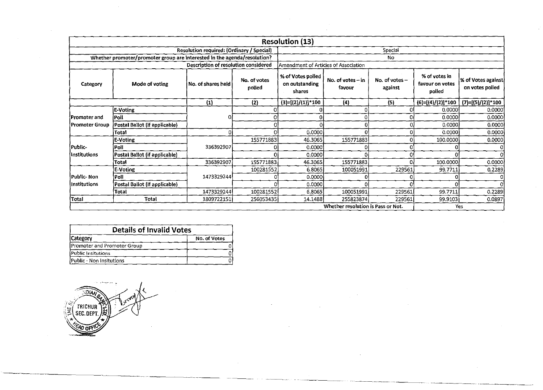|                                          |                                                                                                                                                                                 |                                           |           | <b>Resolution (13)</b>               |                                    |                                            |                                       |                     |
|------------------------------------------|---------------------------------------------------------------------------------------------------------------------------------------------------------------------------------|-------------------------------------------|-----------|--------------------------------------|------------------------------------|--------------------------------------------|---------------------------------------|---------------------|
|                                          |                                                                                                                                                                                 | Resolution required: (Ordinary / Special) |           |                                      |                                    | Special                                    |                                       |                     |
|                                          | Whether promoter/promoter group are interested in the agenda/resolution?                                                                                                        |                                           |           |                                      |                                    | No                                         |                                       |                     |
|                                          |                                                                                                                                                                                 | Description of resolution considered      |           | Amendment of Articles of Association |                                    |                                            |                                       |                     |
| Category                                 | % of Votes polled<br>No. of votes $-$ in<br>No. of votes<br>No. of votes $-$<br>Mode of voting<br>on outstanding<br>No. of shares held<br>polled<br>favour<br>against<br>shares |                                           |           |                                      |                                    | % of votes in<br>favour on votes<br>polled | % of Votes against<br>on votes polled |                     |
|                                          |                                                                                                                                                                                 | (1)                                       | (2)       | $(3)=[(2)/(1)]*100$                  | (4)                                | (5)                                        | $(6)=[(4)/(2)]*100$                   | $(7)=[(5)/(2)]*100$ |
|                                          | E-Voting                                                                                                                                                                        |                                           |           | 0                                    | n.                                 | Ω                                          | 0.0000                                | 0.0000              |
|                                          | Poll                                                                                                                                                                            |                                           | O         | $\Omega$                             |                                    | O                                          | 0.0000                                | 0.0000              |
| <b>Promoter Group</b>                    | Postal Ballot (if applicable)                                                                                                                                                   |                                           | വ         |                                      |                                    | Ω                                          | 0.0000                                | 0.0000              |
| lPromoter and<br>Public-<br>Institutions | Total                                                                                                                                                                           | 0                                         | Ωl        | 0.0000                               |                                    | 0                                          | 0.0000                                | 0.0000              |
|                                          | E-Voting                                                                                                                                                                        |                                           | 155771883 | 46.3065                              | 155771883                          | n                                          | 100.0000                              | 0.0000              |
|                                          | lPoll.                                                                                                                                                                          | 336392907                                 |           | 0.0000                               |                                    |                                            |                                       | C                   |
|                                          | Postal Ballot (if applicable)                                                                                                                                                   |                                           | ΩI        | 0.0000                               | n                                  | 0                                          |                                       | $\Omega$            |
|                                          | Total                                                                                                                                                                           | 336392907                                 | 155771883 | 46.3065                              | 155771883                          | Ω                                          | 100.0000                              | 0.0000              |
|                                          | E-Voting                                                                                                                                                                        |                                           | 100281552 | 6.8065                               | 100051991                          | 229561                                     | 99.7711                               | 0.2289              |
| Public Non                               | Poll                                                                                                                                                                            | 1473329244<br>1473329244<br>1809722151    |           | 0.0000                               |                                    |                                            |                                       | C                   |
| linstitutions                            | Postal Ballot (if applicable)                                                                                                                                                   |                                           |           | 0.0000                               |                                    |                                            |                                       | $\Omega$            |
|                                          | Total                                                                                                                                                                           |                                           | 100281552 | 6.8065                               | 100051991                          | 229561                                     | 99.7711                               | 0.2289              |
| Total                                    | Total                                                                                                                                                                           |                                           | 256053435 | 14.1488                              | 255823874                          | 229561                                     | 99.9103                               | 0.0897              |
|                                          |                                                                                                                                                                                 |                                           |           |                                      | Whether resolution is Pass or Not. |                                            |                                       | Yes                 |

 $\sim$   $\sim$ 

 $\mathcal{A}^{\mathcal{A}}$ 

 $\frac{1}{2}$ 

 $\sim$ 

| <b>Details of Invalid Votes</b> |              |  |  |  |  |
|---------------------------------|--------------|--|--|--|--|
| <b>Category</b>                 | No. of Votes |  |  |  |  |
| Promoter and Promoter Group     |              |  |  |  |  |
| Public Insitutions              |              |  |  |  |  |
| Public - Non Insitutions        |              |  |  |  |  |



 $\sim$   $\sim$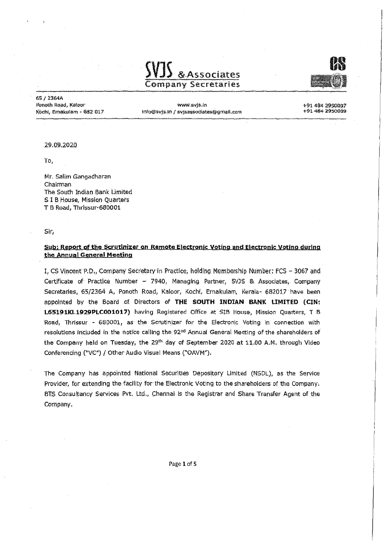

6SJ 2364A **Fonoth Road, Kaloor** Kochi, Emakolam - 682 Ol1

www,svjs.in lnfo@svjs.in f svjsassoc!ates@gmall.com +91 484 2950007 +91 484 2950009

DR

29.09..2020

To,

Mr. Salim Gangadharan Chairman The South Indian Bank Limited S I B House, Mission Quarters **T** B Road, Thrissur'680001

sir,

### **Sub: Report of the Scrutinizer on Remote Electronic Voting and Electronic Voting during the Annual General Meeting**

I., cs Vincent P.D., Company Secretary in Practice, holding Membership Number: FCS - 3067 and Certificate of Practice Number - 7940, Managing Partner, SVJS & Associates, Company Secretaries, 65/2364 A, Ponoth Road, Kaloor, Kochi, Ernakulam, Kerala- 682017 have been appointed by the Board of Directors of **THE SOUTH INDIAN BANK LIMITED (CIN: L65191KL1929PLC001017)** having Registered Office at SIB House, Mission Quarters, T B Road, Thrissur - 680001, as the Scrutinizer for the Electronic Voting in connection with resolutions included in the notice calling the 92nd Annual General Meeting of the shareholders of the Company held on Tuesday, the 29<sup>th</sup> day of September 2020 at 11.00 A.M. through Video Conferencing ("VC") / Other Audio Visual Means ("OAVM").

The Company has appointed National Securities Depository Limited (NSDL), as the Service Provider, for extending the facility for the Electronic Voting to the shareholders of the Company. BTS Consultancy Services Pvt. Ltd., Chennai is the Registrar and Share Transfer Agent of the Company.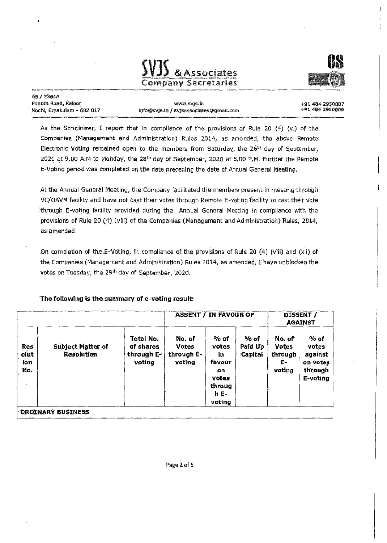



| 65 / 2364A                |                                         |                 |
|---------------------------|-----------------------------------------|-----------------|
| Ponoth Road, Kaloor       | WWW.Svis.in                             | +91 484 2950007 |
| Kochi, Emakulam - 682 017 | info@svjs.in / svjsassociates@gmail.com | +91 484 2950009 |

As the Scrutinizer, I report that in compliance of the provisions of Rule 20 (4) (vi) of the Companies (Management and Administration) Rules 2014, as amended, the above Remote Electronic Voting remained open to the members from Saturday, the 26"' day of September, 2020 at 9.00 A.M to Monday, the 28<sup>th</sup> day of September, 2020 at 5.00 P.M. Further the Remote E-Voting period was completed on the date preceding the date of Annual General Meeting.

At the Annual General Meeting, the Company facilitated the members present in meeting through VC/OAVM facility and have not cast their votes through Remote E-voting facility to cast their vote through E-voting facility provided during the Annual General Meeting in compliance with the provisions of Rule 20 (4) (viii) of the Companies (Management and Administration) Rules, 2014, as amended.

On completion of the E-Voting, in compliance of the provisions of Rule 20  $(4)$  (viii) and (xii) of the Companies (Management and Administration) Rules Z014, as amended, I have unblocked the votes on Tuesday, the 29<sup>th</sup> day of September, 2020.

#### **The following is the summary of e-voting result:**

|                                  |                                               |                                                | <b>ASSENT / IN FAVOUR OF</b>                   |                                                                                       |                            |                                                   | DISSENT /<br><b>AGAINST</b>                                   |
|----------------------------------|-----------------------------------------------|------------------------------------------------|------------------------------------------------|---------------------------------------------------------------------------------------|----------------------------|---------------------------------------------------|---------------------------------------------------------------|
| <b>Res</b><br>olut<br>ion<br>No. | <b>Subject Matter of</b><br><b>Resolution</b> | Total No.<br>of shares<br>through E-<br>voting | No. of<br><b>Votes</b><br>through E-<br>voting | $\%$ of<br>votes.<br>în<br>favour<br>on.<br><b>votes</b><br>throug<br>$hE-$<br>voting | % of<br>Paid Up<br>Capital | No. of<br><b>Votes</b><br>through<br>ъ-<br>voting | $%$ of<br>votes<br>against<br>on votes<br>through<br>E-voting |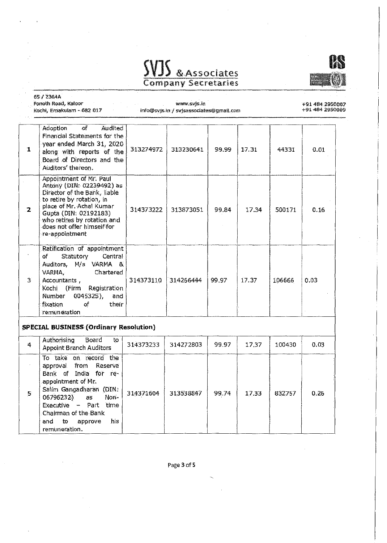| $\sqrt{J}$ & Associates    |  |  |
|----------------------------|--|--|
| <b>Company Secretaries</b> |  |  |

 $\sim 100$ 



 $\mathcal{A}^{\mathcal{A}}$ 

|                         | 65 / 2364A<br>Ponoth Road, Kaloor<br>Kochi, Ernakulam - 682 017                                                                                                                                                                                       |           | www.svis.in<br>Info@svjs.in / svjsassociates@gmail.com |       |       |        | +91 484 2950007<br>1914842950009 |
|-------------------------|-------------------------------------------------------------------------------------------------------------------------------------------------------------------------------------------------------------------------------------------------------|-----------|--------------------------------------------------------|-------|-------|--------|----------------------------------|
| 1                       | Adoption<br>o <sub>f</sub><br>Audited<br>Financial Statements for the<br>year ended March 31, 2020<br>along with reports of the<br>Board of Directors and the<br>Auditors' thereon.                                                                   | 313274972 | 313230641                                              | 99.99 | 17.31 | 44331  | 0.01                             |
| $\mathbf{2}$            | Appointment of Mr. Paul<br>Antony (DIN: 02239492) as<br>Director of the Bank, liable<br>to retire by rotation, in<br>place of Mr. Achal Kumar<br>Gupta (DIN: 02192183)<br>who retires by rotation and<br>does not offer himself for<br>re-appointment | 314373222 | 313873051                                              | 99.84 | 17.34 | 500171 | 0.16                             |
| $\overline{\mathbf{3}}$ | Ratification of appointment<br>٥f<br>Statutory<br>Central<br>Auditors, M/s VARMA &<br>Chartered<br>VARMA,<br>Accountants,<br>Kochi (Firm<br>Registration<br>Number<br>0045325),<br>and<br>of<br>fixation<br>their<br>remuneration                     | 314373110 | 314266444                                              | 99.97 | 17.37 | 106666 | 0.03                             |
|                         | <b>SPECIAL BUSINESS (Ordinary Resolution)</b>                                                                                                                                                                                                         |           |                                                        |       |       |        |                                  |
| 4                       | Board<br>Authorising<br>to<br><b>Appoint Branch Auditors</b>                                                                                                                                                                                          | 314373233 | 314272803                                              | 99.97 | 17.37 | 100430 | 0.03                             |
| 5                       | To take on record the<br>from<br>Reserve<br>approval<br>Bank of India for re-<br>appointment of Mr.<br>Salim Gangadharan (DIN:<br>06796232)<br>Non-<br>as                                                                                             | 314371604 | 313538847                                              | 99.74 | 17.33 | 832757 | 0.26                             |

Page 3 of 5

Executive - Part time Chairman of the Bank and to approve his

**remuneration.**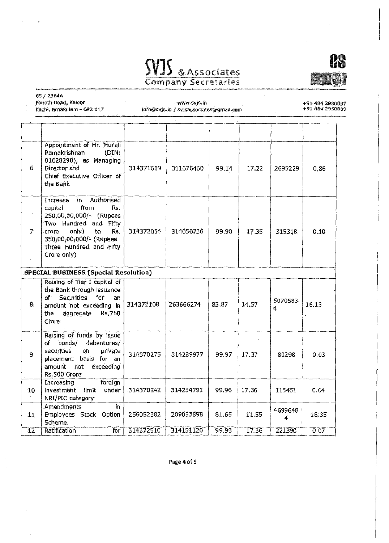|    | Ponoth Road, Kaloor<br>Kochi, Ernakulam - 682 017<br>Ramakrishnan<br>Director and<br>6<br>the Bank<br>în<br>Increase<br>from<br>capital<br>7<br>only)<br>crore<br>to<br>Crore only)<br><b>SPECIAL BUSINESS (Special Resolution)</b><br>оf<br><b>Securities</b><br>for<br>8.<br>the<br>aggregate<br><b>Crore</b><br>bonds/<br>of<br>securities<br>on<br>9<br>amount not | Info@svjs.in / svjsassociates@gmail.com | +91 484 2950007<br>+91 484 2950009 |       |       |              |       |
|----|------------------------------------------------------------------------------------------------------------------------------------------------------------------------------------------------------------------------------------------------------------------------------------------------------------------------------------------------------------------------|-----------------------------------------|------------------------------------|-------|-------|--------------|-------|
|    |                                                                                                                                                                                                                                                                                                                                                                        |                                         |                                    |       |       |              |       |
|    | Appointment of Mr. Murali<br>(DIM:<br>01028298), as Managing<br>Chief Executive Officer of                                                                                                                                                                                                                                                                             | 314371689                               | 311676460                          | 99.14 | 17.22 | 2695229      | 0.86  |
|    | Authorised<br>Rs.<br>250,00,00,000/- (Rupees<br>Two Hundred and Fifty<br>Rs.<br>350,00,00,000/- (Rupees<br>Three Hundred and Fifty                                                                                                                                                                                                                                     | 314372054                               | 314056736                          | 99.90 | 17.35 | 315318       | 0.10  |
|    |                                                                                                                                                                                                                                                                                                                                                                        |                                         |                                    |       |       |              |       |
|    | Raising of Tier I capital of<br>the Bank through issuance<br>an<br>amount not exceeding in<br>Rs.750                                                                                                                                                                                                                                                                   | 314372108                               | 263666274                          | 83.87 | 14.57 | 5070583<br>4 | 16.13 |
|    | Raising of funds by issue<br>debentures/<br>private<br>placement basis for an<br>exceeding<br>Rs.500 Crore                                                                                                                                                                                                                                                             | 314370275                               | 314289977                          | 99.97 | 17.37 | 80298        | 0.03  |
| 10 | foreign<br>Increasing<br>investment limit<br>under<br>NRI/PIO category                                                                                                                                                                                                                                                                                                 | 314370242                               | 314254791                          | 99.96 | 17.36 | 115451       | 0.04  |
| 11 | Amendments<br>İn.<br>Employees Stock Option<br>Scheme.                                                                                                                                                                                                                                                                                                                 | 256052382                               | 209055898                          | 81.65 | 11.55 | 4699648<br>4 | 18.35 |
| 12 | Ratification<br>for                                                                                                                                                                                                                                                                                                                                                    | 314372510                               | 314151120                          | 99.93 | 17.36 | 221390       | 0.07  |

<u>SVJS & Associates</u> Company Secretaries

*651* 2364A



 $\hat{\mathcal{A}}$ 

Page 4of 5